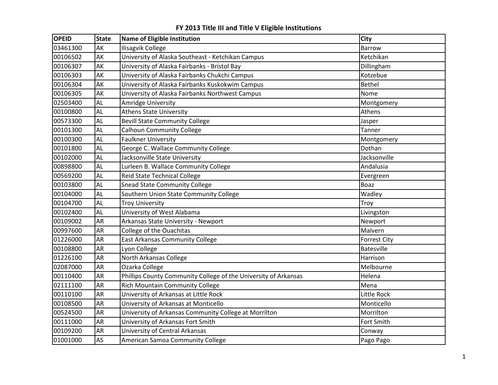| <b>OPEID</b> | <b>State</b> | Name of Eligible Institution                                    | City                |
|--------------|--------------|-----------------------------------------------------------------|---------------------|
| 03461300     | AK           | Ilisagvik College                                               | <b>Barrow</b>       |
| 00106502     | AK           | University of Alaska Southeast - Ketchikan Campus               | Ketchikan           |
| 00106307     | AK           | University of Alaska Fairbanks - Bristol Bay                    | Dillingham          |
| 00106303     | AK           | University of Alaska Fairbanks Chukchi Campus                   | Kotzebue            |
| 00106304     | AK           | University of Alaska Fairbanks Kuskokwim Campus                 | <b>Bethel</b>       |
| 00106305     | AK           | University of Alaska Fairbanks Northwest Campus                 | Nome                |
| 02503400     | <b>AL</b>    | Amridge University                                              | Montgomery          |
| 00100800     | AL           | <b>Athens State University</b>                                  | Athens              |
| 00573300     | <b>AL</b>    | <b>Bevill State Community College</b>                           | Jasper              |
| 00101300     | <b>AL</b>    | <b>Calhoun Community College</b>                                | Tanner              |
| 00100300     | AL           | <b>Faulkner University</b>                                      | Montgomery          |
| 00101800     | AL           | George C. Wallace Community College                             | Dothan              |
| 00102000     | AL           | Jacksonville State University                                   | Jacksonville        |
| 00898800     | AL           | Lurleen B. Wallace Community College                            | Andalusia           |
| 00569200     | AL           | <b>Reid State Technical College</b>                             | Evergreen           |
| 00103800     | AL           | <b>Snead State Community College</b>                            | <b>Boaz</b>         |
| 00104000     | <b>AL</b>    | Southern Union State Community College                          | Wadley              |
| 00104700     | AL           | <b>Troy University</b>                                          | Troy                |
| 00102400     | <b>AL</b>    | University of West Alabama                                      | Livingston          |
| 00109002     | <b>AR</b>    | Arkansas State University - Newport                             | Newport             |
| 00997600     | <b>AR</b>    | College of the Ouachitas                                        | Malvern             |
| 01226000     | <b>AR</b>    | <b>East Arkansas Community College</b>                          | <b>Forrest City</b> |
| 00108800     | <b>AR</b>    | Lyon College                                                    | <b>Batesville</b>   |
| 01226100     | <b>AR</b>    | North Arkansas College                                          | Harrison            |
| 02087000     | <b>AR</b>    | Ozarka College                                                  | Melbourne           |
| 00110400     | AR           | Phillips County Community College of the University of Arkansas | Helena              |
| 02111100     | <b>AR</b>    | <b>Rich Mountain Community College</b>                          | Mena                |
| 00110100     | <b>AR</b>    | University of Arkansas at Little Rock                           | Little Rock         |
| 00108500     | <b>AR</b>    | University of Arkansas at Monticello                            | Monticello          |
| 00524500     | <b>AR</b>    | University of Arkansas Community College at Morrilton           | Morrilton           |
| 00111000     | AR           | University of Arkansas Fort Smith                               | Fort Smith          |
| 00109200     | <b>AR</b>    | University of Central Arkansas                                  | Conway              |
| 01001000     | AS           | American Samoa Community College                                | Pago Pago           |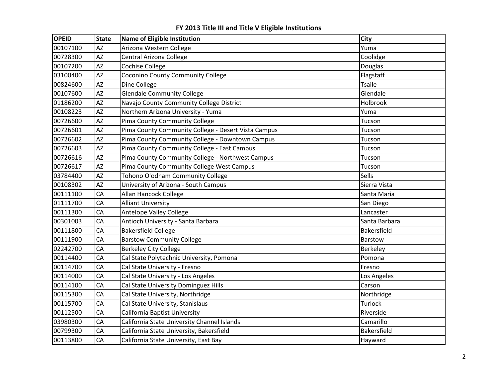| <b>AZ</b><br>00107100<br>Arizona Western College<br>Yuma<br><b>AZ</b><br>00728300<br>Central Arizona College<br>Coolidge<br>AZ<br>00107200<br><b>Cochise College</b><br>Douglas<br>03100400<br><b>AZ</b><br>Coconino County Community College<br>Flagstaff<br><b>AZ</b><br>00824600<br>Dine College<br><b>Tsaile</b><br><b>AZ</b><br><b>Glendale Community College</b><br>00107600<br>Glendale<br><b>AZ</b><br>01186200<br>Navajo County Community College District<br>Holbrook<br>AZ<br>00108223<br>Northern Arizona University - Yuma<br>Yuma<br>00726600<br><b>AZ</b><br>Pima County Community College<br>Tucson<br><b>AZ</b><br>Pima County Community College - Desert Vista Campus<br>00726601<br>Tucson<br><b>AZ</b><br>Pima County Community College - Downtown Campus<br>00726602<br>Tucson<br><b>AZ</b><br>Pima County Community College - East Campus<br>00726603<br>Tucson<br>AZ<br>Pima County Community College - Northwest Campus<br>00726616<br>Tucson<br><b>AZ</b><br>Pima County Community College West Campus<br>00726617<br>Tucson<br><b>AZ</b><br>Tohono O'odham Community College<br>Sells<br>03784400<br><b>AZ</b><br>University of Arizona - South Campus<br>00108302<br>Sierra Vista<br>CA<br>00111100<br>Allan Hancock College<br>Santa Maria<br>01111700<br>CA<br><b>Alliant University</b><br>San Diego<br>CA<br>00111300<br>Antelope Valley College<br>Lancaster<br>CA<br>Antioch University - Santa Barbara<br>00301003<br>Santa Barbara<br>CA<br>00111800<br><b>Bakersfield College</b><br>Bakersfield<br>CA<br>00111900<br><b>Barstow Community College</b><br>Barstow<br>02242700<br>CA<br><b>Berkeley City College</b><br>Berkeley<br>00114400<br>CA<br>Cal State Polytechnic University, Pomona<br>Pomona<br>CA<br>00114700<br>Cal State University - Fresno<br>Fresno<br>CA<br>00114000<br>Cal State University - Los Angeles<br>Los Angeles<br>CA<br>00114100<br>Cal State University Dominguez Hills<br>Carson<br>CA<br>00115300<br>Cal State University, Northridge<br>Northridge<br>00115700<br>CA<br>Cal State University, Stanislaus<br>Turlock<br>00112500<br>CA<br>California Baptist University<br>Riverside<br>CA<br>California State University Channel Islands<br>03980300<br>Camarillo<br>00799300<br>CA<br>California State University, Bakersfield<br>Bakersfield<br>00113800<br>CA<br>California State University, East Bay<br>Hayward | <b>OPEID</b> | <b>State</b> | <b>Name of Eligible Institution</b> | <b>City</b> |
|-------------------------------------------------------------------------------------------------------------------------------------------------------------------------------------------------------------------------------------------------------------------------------------------------------------------------------------------------------------------------------------------------------------------------------------------------------------------------------------------------------------------------------------------------------------------------------------------------------------------------------------------------------------------------------------------------------------------------------------------------------------------------------------------------------------------------------------------------------------------------------------------------------------------------------------------------------------------------------------------------------------------------------------------------------------------------------------------------------------------------------------------------------------------------------------------------------------------------------------------------------------------------------------------------------------------------------------------------------------------------------------------------------------------------------------------------------------------------------------------------------------------------------------------------------------------------------------------------------------------------------------------------------------------------------------------------------------------------------------------------------------------------------------------------------------------------------------------------------------------------------------------------------------------------------------------------------------------------------------------------------------------------------------------------------------------------------------------------------------------------------------------------------------------------------------------------------------------------------------------------------------------------------------------------------------------------------------------------------------------------------------------|--------------|--------------|-------------------------------------|-------------|
|                                                                                                                                                                                                                                                                                                                                                                                                                                                                                                                                                                                                                                                                                                                                                                                                                                                                                                                                                                                                                                                                                                                                                                                                                                                                                                                                                                                                                                                                                                                                                                                                                                                                                                                                                                                                                                                                                                                                                                                                                                                                                                                                                                                                                                                                                                                                                                                           |              |              |                                     |             |
|                                                                                                                                                                                                                                                                                                                                                                                                                                                                                                                                                                                                                                                                                                                                                                                                                                                                                                                                                                                                                                                                                                                                                                                                                                                                                                                                                                                                                                                                                                                                                                                                                                                                                                                                                                                                                                                                                                                                                                                                                                                                                                                                                                                                                                                                                                                                                                                           |              |              |                                     |             |
|                                                                                                                                                                                                                                                                                                                                                                                                                                                                                                                                                                                                                                                                                                                                                                                                                                                                                                                                                                                                                                                                                                                                                                                                                                                                                                                                                                                                                                                                                                                                                                                                                                                                                                                                                                                                                                                                                                                                                                                                                                                                                                                                                                                                                                                                                                                                                                                           |              |              |                                     |             |
|                                                                                                                                                                                                                                                                                                                                                                                                                                                                                                                                                                                                                                                                                                                                                                                                                                                                                                                                                                                                                                                                                                                                                                                                                                                                                                                                                                                                                                                                                                                                                                                                                                                                                                                                                                                                                                                                                                                                                                                                                                                                                                                                                                                                                                                                                                                                                                                           |              |              |                                     |             |
|                                                                                                                                                                                                                                                                                                                                                                                                                                                                                                                                                                                                                                                                                                                                                                                                                                                                                                                                                                                                                                                                                                                                                                                                                                                                                                                                                                                                                                                                                                                                                                                                                                                                                                                                                                                                                                                                                                                                                                                                                                                                                                                                                                                                                                                                                                                                                                                           |              |              |                                     |             |
|                                                                                                                                                                                                                                                                                                                                                                                                                                                                                                                                                                                                                                                                                                                                                                                                                                                                                                                                                                                                                                                                                                                                                                                                                                                                                                                                                                                                                                                                                                                                                                                                                                                                                                                                                                                                                                                                                                                                                                                                                                                                                                                                                                                                                                                                                                                                                                                           |              |              |                                     |             |
|                                                                                                                                                                                                                                                                                                                                                                                                                                                                                                                                                                                                                                                                                                                                                                                                                                                                                                                                                                                                                                                                                                                                                                                                                                                                                                                                                                                                                                                                                                                                                                                                                                                                                                                                                                                                                                                                                                                                                                                                                                                                                                                                                                                                                                                                                                                                                                                           |              |              |                                     |             |
|                                                                                                                                                                                                                                                                                                                                                                                                                                                                                                                                                                                                                                                                                                                                                                                                                                                                                                                                                                                                                                                                                                                                                                                                                                                                                                                                                                                                                                                                                                                                                                                                                                                                                                                                                                                                                                                                                                                                                                                                                                                                                                                                                                                                                                                                                                                                                                                           |              |              |                                     |             |
|                                                                                                                                                                                                                                                                                                                                                                                                                                                                                                                                                                                                                                                                                                                                                                                                                                                                                                                                                                                                                                                                                                                                                                                                                                                                                                                                                                                                                                                                                                                                                                                                                                                                                                                                                                                                                                                                                                                                                                                                                                                                                                                                                                                                                                                                                                                                                                                           |              |              |                                     |             |
|                                                                                                                                                                                                                                                                                                                                                                                                                                                                                                                                                                                                                                                                                                                                                                                                                                                                                                                                                                                                                                                                                                                                                                                                                                                                                                                                                                                                                                                                                                                                                                                                                                                                                                                                                                                                                                                                                                                                                                                                                                                                                                                                                                                                                                                                                                                                                                                           |              |              |                                     |             |
|                                                                                                                                                                                                                                                                                                                                                                                                                                                                                                                                                                                                                                                                                                                                                                                                                                                                                                                                                                                                                                                                                                                                                                                                                                                                                                                                                                                                                                                                                                                                                                                                                                                                                                                                                                                                                                                                                                                                                                                                                                                                                                                                                                                                                                                                                                                                                                                           |              |              |                                     |             |
|                                                                                                                                                                                                                                                                                                                                                                                                                                                                                                                                                                                                                                                                                                                                                                                                                                                                                                                                                                                                                                                                                                                                                                                                                                                                                                                                                                                                                                                                                                                                                                                                                                                                                                                                                                                                                                                                                                                                                                                                                                                                                                                                                                                                                                                                                                                                                                                           |              |              |                                     |             |
|                                                                                                                                                                                                                                                                                                                                                                                                                                                                                                                                                                                                                                                                                                                                                                                                                                                                                                                                                                                                                                                                                                                                                                                                                                                                                                                                                                                                                                                                                                                                                                                                                                                                                                                                                                                                                                                                                                                                                                                                                                                                                                                                                                                                                                                                                                                                                                                           |              |              |                                     |             |
|                                                                                                                                                                                                                                                                                                                                                                                                                                                                                                                                                                                                                                                                                                                                                                                                                                                                                                                                                                                                                                                                                                                                                                                                                                                                                                                                                                                                                                                                                                                                                                                                                                                                                                                                                                                                                                                                                                                                                                                                                                                                                                                                                                                                                                                                                                                                                                                           |              |              |                                     |             |
|                                                                                                                                                                                                                                                                                                                                                                                                                                                                                                                                                                                                                                                                                                                                                                                                                                                                                                                                                                                                                                                                                                                                                                                                                                                                                                                                                                                                                                                                                                                                                                                                                                                                                                                                                                                                                                                                                                                                                                                                                                                                                                                                                                                                                                                                                                                                                                                           |              |              |                                     |             |
|                                                                                                                                                                                                                                                                                                                                                                                                                                                                                                                                                                                                                                                                                                                                                                                                                                                                                                                                                                                                                                                                                                                                                                                                                                                                                                                                                                                                                                                                                                                                                                                                                                                                                                                                                                                                                                                                                                                                                                                                                                                                                                                                                                                                                                                                                                                                                                                           |              |              |                                     |             |
|                                                                                                                                                                                                                                                                                                                                                                                                                                                                                                                                                                                                                                                                                                                                                                                                                                                                                                                                                                                                                                                                                                                                                                                                                                                                                                                                                                                                                                                                                                                                                                                                                                                                                                                                                                                                                                                                                                                                                                                                                                                                                                                                                                                                                                                                                                                                                                                           |              |              |                                     |             |
|                                                                                                                                                                                                                                                                                                                                                                                                                                                                                                                                                                                                                                                                                                                                                                                                                                                                                                                                                                                                                                                                                                                                                                                                                                                                                                                                                                                                                                                                                                                                                                                                                                                                                                                                                                                                                                                                                                                                                                                                                                                                                                                                                                                                                                                                                                                                                                                           |              |              |                                     |             |
|                                                                                                                                                                                                                                                                                                                                                                                                                                                                                                                                                                                                                                                                                                                                                                                                                                                                                                                                                                                                                                                                                                                                                                                                                                                                                                                                                                                                                                                                                                                                                                                                                                                                                                                                                                                                                                                                                                                                                                                                                                                                                                                                                                                                                                                                                                                                                                                           |              |              |                                     |             |
|                                                                                                                                                                                                                                                                                                                                                                                                                                                                                                                                                                                                                                                                                                                                                                                                                                                                                                                                                                                                                                                                                                                                                                                                                                                                                                                                                                                                                                                                                                                                                                                                                                                                                                                                                                                                                                                                                                                                                                                                                                                                                                                                                                                                                                                                                                                                                                                           |              |              |                                     |             |
|                                                                                                                                                                                                                                                                                                                                                                                                                                                                                                                                                                                                                                                                                                                                                                                                                                                                                                                                                                                                                                                                                                                                                                                                                                                                                                                                                                                                                                                                                                                                                                                                                                                                                                                                                                                                                                                                                                                                                                                                                                                                                                                                                                                                                                                                                                                                                                                           |              |              |                                     |             |
|                                                                                                                                                                                                                                                                                                                                                                                                                                                                                                                                                                                                                                                                                                                                                                                                                                                                                                                                                                                                                                                                                                                                                                                                                                                                                                                                                                                                                                                                                                                                                                                                                                                                                                                                                                                                                                                                                                                                                                                                                                                                                                                                                                                                                                                                                                                                                                                           |              |              |                                     |             |
|                                                                                                                                                                                                                                                                                                                                                                                                                                                                                                                                                                                                                                                                                                                                                                                                                                                                                                                                                                                                                                                                                                                                                                                                                                                                                                                                                                                                                                                                                                                                                                                                                                                                                                                                                                                                                                                                                                                                                                                                                                                                                                                                                                                                                                                                                                                                                                                           |              |              |                                     |             |
|                                                                                                                                                                                                                                                                                                                                                                                                                                                                                                                                                                                                                                                                                                                                                                                                                                                                                                                                                                                                                                                                                                                                                                                                                                                                                                                                                                                                                                                                                                                                                                                                                                                                                                                                                                                                                                                                                                                                                                                                                                                                                                                                                                                                                                                                                                                                                                                           |              |              |                                     |             |
|                                                                                                                                                                                                                                                                                                                                                                                                                                                                                                                                                                                                                                                                                                                                                                                                                                                                                                                                                                                                                                                                                                                                                                                                                                                                                                                                                                                                                                                                                                                                                                                                                                                                                                                                                                                                                                                                                                                                                                                                                                                                                                                                                                                                                                                                                                                                                                                           |              |              |                                     |             |
|                                                                                                                                                                                                                                                                                                                                                                                                                                                                                                                                                                                                                                                                                                                                                                                                                                                                                                                                                                                                                                                                                                                                                                                                                                                                                                                                                                                                                                                                                                                                                                                                                                                                                                                                                                                                                                                                                                                                                                                                                                                                                                                                                                                                                                                                                                                                                                                           |              |              |                                     |             |
|                                                                                                                                                                                                                                                                                                                                                                                                                                                                                                                                                                                                                                                                                                                                                                                                                                                                                                                                                                                                                                                                                                                                                                                                                                                                                                                                                                                                                                                                                                                                                                                                                                                                                                                                                                                                                                                                                                                                                                                                                                                                                                                                                                                                                                                                                                                                                                                           |              |              |                                     |             |
|                                                                                                                                                                                                                                                                                                                                                                                                                                                                                                                                                                                                                                                                                                                                                                                                                                                                                                                                                                                                                                                                                                                                                                                                                                                                                                                                                                                                                                                                                                                                                                                                                                                                                                                                                                                                                                                                                                                                                                                                                                                                                                                                                                                                                                                                                                                                                                                           |              |              |                                     |             |
|                                                                                                                                                                                                                                                                                                                                                                                                                                                                                                                                                                                                                                                                                                                                                                                                                                                                                                                                                                                                                                                                                                                                                                                                                                                                                                                                                                                                                                                                                                                                                                                                                                                                                                                                                                                                                                                                                                                                                                                                                                                                                                                                                                                                                                                                                                                                                                                           |              |              |                                     |             |
|                                                                                                                                                                                                                                                                                                                                                                                                                                                                                                                                                                                                                                                                                                                                                                                                                                                                                                                                                                                                                                                                                                                                                                                                                                                                                                                                                                                                                                                                                                                                                                                                                                                                                                                                                                                                                                                                                                                                                                                                                                                                                                                                                                                                                                                                                                                                                                                           |              |              |                                     |             |
|                                                                                                                                                                                                                                                                                                                                                                                                                                                                                                                                                                                                                                                                                                                                                                                                                                                                                                                                                                                                                                                                                                                                                                                                                                                                                                                                                                                                                                                                                                                                                                                                                                                                                                                                                                                                                                                                                                                                                                                                                                                                                                                                                                                                                                                                                                                                                                                           |              |              |                                     |             |
|                                                                                                                                                                                                                                                                                                                                                                                                                                                                                                                                                                                                                                                                                                                                                                                                                                                                                                                                                                                                                                                                                                                                                                                                                                                                                                                                                                                                                                                                                                                                                                                                                                                                                                                                                                                                                                                                                                                                                                                                                                                                                                                                                                                                                                                                                                                                                                                           |              |              |                                     |             |
|                                                                                                                                                                                                                                                                                                                                                                                                                                                                                                                                                                                                                                                                                                                                                                                                                                                                                                                                                                                                                                                                                                                                                                                                                                                                                                                                                                                                                                                                                                                                                                                                                                                                                                                                                                                                                                                                                                                                                                                                                                                                                                                                                                                                                                                                                                                                                                                           |              |              |                                     |             |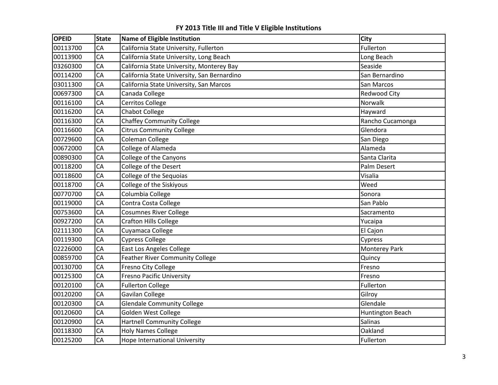| <b>OPEID</b> | <b>State</b> | Name of Eligible Institution                | City                 |
|--------------|--------------|---------------------------------------------|----------------------|
| 00113700     | CA           | California State University, Fullerton      | Fullerton            |
| 00113900     | CA           | California State University, Long Beach     | Long Beach           |
| 03260300     | CA           | California State University, Monterey Bay   | Seaside              |
| 00114200     | CA           | California State University, San Bernardino | San Bernardino       |
| 03011300     | CA           | California State University, San Marcos     | San Marcos           |
| 00697300     | CA           | Canada College                              | <b>Redwood City</b>  |
| 00116100     | CA           | Cerritos College                            | Norwalk              |
| 00116200     | CA           | <b>Chabot College</b>                       | Hayward              |
| 00116300     | CA           | <b>Chaffey Community College</b>            | Rancho Cucamonga     |
| 00116600     | CA           | <b>Citrus Community College</b>             | Glendora             |
| 00729600     | CA           | Coleman College                             | San Diego            |
| 00672000     | CA           | College of Alameda                          | Alameda              |
| 00890300     | CA           | College of the Canyons                      | Santa Clarita        |
| 00118200     | CA           | College of the Desert                       | Palm Desert          |
| 00118600     | CA           | College of the Sequoias                     | Visalia              |
| 00118700     | CA           | College of the Siskiyous                    | Weed                 |
| 00770700     | CA           | Columbia College                            | Sonora               |
| 00119000     | CA           | Contra Costa College                        | San Pablo            |
| 00753600     | CA           | <b>Cosumnes River College</b>               | Sacramento           |
| 00927200     | CA           | <b>Crafton Hills College</b>                | Yucaipa              |
| 02111300     | CA           | Cuyamaca College                            | El Cajon             |
| 00119300     | CA           | <b>Cypress College</b>                      | Cypress              |
| 02226000     | CA           | East Los Angeles College                    | <b>Monterey Park</b> |
| 00859700     | CA           | <b>Feather River Community College</b>      | Quincy               |
| 00130700     | CA           | Fresno City College                         | Fresno               |
| 00125300     | CA           | <b>Fresno Pacific University</b>            | Fresno               |
| 00120100     | CA           | <b>Fullerton College</b>                    | Fullerton            |
| 00120200     | CA           | Gavilan College                             | Gilroy               |
| 00120300     | CA           | <b>Glendale Community College</b>           | Glendale             |
| 00120600     | CA           | Golden West College                         | Huntington Beach     |
| 00120900     | CA           | <b>Hartnell Community College</b>           | <b>Salinas</b>       |
| 00118300     | CA           | <b>Holy Names College</b>                   | Oakland              |
| 00125200     | CA           | <b>Hope International University</b>        | Fullerton            |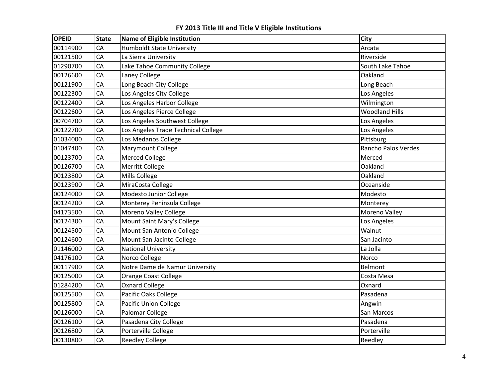| <b>OPEID</b> | <b>State</b> | Name of Eligible Institution        | <b>City</b>           |
|--------------|--------------|-------------------------------------|-----------------------|
| 00114900     | CA           | <b>Humboldt State University</b>    | Arcata                |
| 00121500     | CA           | La Sierra University                | Riverside             |
| 01290700     | CA           | Lake Tahoe Community College        | South Lake Tahoe      |
| 00126600     | CA           | Laney College                       | Oakland               |
| 00121900     | CA           | Long Beach City College             | Long Beach            |
| 00122300     | CA           | Los Angeles City College            | Los Angeles           |
| 00122400     | CA           | Los Angeles Harbor College          | Wilmington            |
| 00122600     | CA           | Los Angeles Pierce College          | <b>Woodland Hills</b> |
| 00704700     | CA           | Los Angeles Southwest College       | Los Angeles           |
| 00122700     | CA           | Los Angeles Trade Technical College | Los Angeles           |
| 01034000     | CA           | Los Medanos College                 | Pittsburg             |
| 01047400     | CA           | Marymount College                   | Rancho Palos Verdes   |
| 00123700     | CA           | <b>Merced College</b>               | Merced                |
| 00126700     | CA           | <b>Merritt College</b>              | Oakland               |
| 00123800     | CA           | Mills College                       | Oakland               |
| 00123900     | CA           | MiraCosta College                   | Oceanside             |
| 00124000     | CA           | Modesto Junior College              | Modesto               |
| 00124200     | CA           | Monterey Peninsula College          | Monterey              |
| 04173500     | CA           | Moreno Valley College               | Moreno Valley         |
| 00124300     | CA           | Mount Saint Mary's College          | Los Angeles           |
| 00124500     | CA           | Mount San Antonio College           | Walnut                |
| 00124600     | CA           | Mount San Jacinto College           | San Jacinto           |
| 01146000     | CA           | <b>National University</b>          | La Jolla              |
| 04176100     | CA           | Norco College                       | Norco                 |
| 00117900     | CA           | Notre Dame de Namur University      | Belmont               |
| 00125000     | CA           | Orange Coast College                | Costa Mesa            |
| 01284200     | CA           | <b>Oxnard College</b>               | Oxnard                |
| 00125500     | CA           | Pacific Oaks College                | Pasadena              |
| 00125800     | CA           | <b>Pacific Union College</b>        | Angwin                |
| 00126000     | CA           | Palomar College                     | San Marcos            |
| 00126100     | CA           | Pasadena City College               | Pasadena              |
| 00126800     | CA           | Porterville College                 | Porterville           |
| 00130800     | CA           | <b>Reedley College</b>              | Reedley               |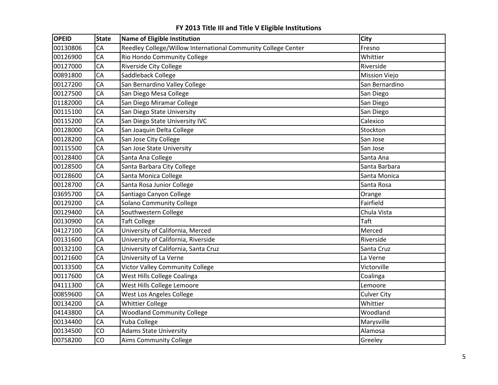| <b>OPEID</b> | <b>State</b> | <b>Name of Eligible Institution</b>                           | <b>City</b>          |
|--------------|--------------|---------------------------------------------------------------|----------------------|
| 00130806     | CA           | Reedley College/Willow International Community College Center | Fresno               |
| 00126900     | CA           | Rio Hondo Community College                                   | Whittier             |
| 00127000     | CA           | <b>Riverside City College</b>                                 | Riverside            |
| 00891800     | CA           | Saddleback College                                            | <b>Mission Viejo</b> |
| 00127200     | CA           | San Bernardino Valley College                                 | San Bernardino       |
| 00127500     | CA           | San Diego Mesa College                                        | San Diego            |
| 01182000     | CA           | San Diego Miramar College                                     | San Diego            |
| 00115100     | CA           | San Diego State University                                    | San Diego            |
| 00115200     | CA           | San Diego State University IVC                                | Calexico             |
| 00128000     | CA           | San Joaquin Delta College                                     | Stockton             |
| 00128200     | CA           | San Jose City College                                         | San Jose             |
| 00115500     | CA           | San Jose State University                                     | San Jose             |
| 00128400     | CA           | Santa Ana College                                             | Santa Ana            |
| 00128500     | CA           | Santa Barbara City College                                    | Santa Barbara        |
| 00128600     | CA           | Santa Monica College                                          | Santa Monica         |
| 00128700     | CA           | Santa Rosa Junior College                                     | Santa Rosa           |
| 03695700     | CA           | Santiago Canyon College                                       | Orange               |
| 00129200     | CA           | Solano Community College                                      | Fairfield            |
| 00129400     | CA           | Southwestern College                                          | Chula Vista          |
| 00130900     | CA           | <b>Taft College</b>                                           | Taft                 |
| 04127100     | CA           | University of California, Merced                              | Merced               |
| 00131600     | CA           | University of California, Riverside                           | Riverside            |
| 00132100     | CA           | University of California, Santa Cruz                          | Santa Cruz           |
| 00121600     | CA           | University of La Verne                                        | La Verne             |
| 00133500     | CA           | Victor Valley Community College                               | Victorville          |
| 00117600     | CA           | West Hills College Coalinga                                   | Coalinga             |
| 04111300     | CA           | West Hills College Lemoore                                    | Lemoore              |
| 00859600     | CA           | West Los Angeles College                                      | <b>Culver City</b>   |
| 00134200     | CA           | <b>Whittier College</b>                                       | Whittier             |
| 04143800     | CA           | <b>Woodland Community College</b>                             | Woodland             |
| 00134400     | CA           | Yuba College                                                  | Marysville           |
| 00134500     | CO           | <b>Adams State University</b>                                 | Alamosa              |
| 00758200     | CO           | <b>Aims Community College</b>                                 | Greeley              |

**FY 2013 Title III and Title V Eligible Institutions**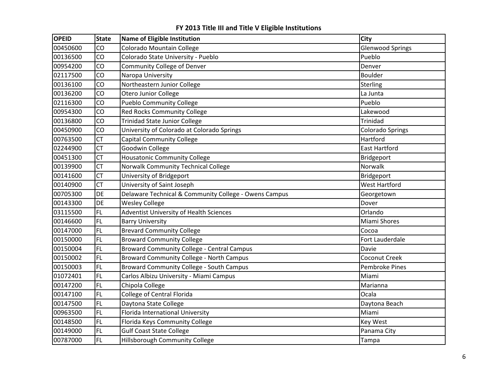| <b>OPEID</b> | <b>State</b> | Name of Eligible Institution                          | City                    |
|--------------|--------------|-------------------------------------------------------|-------------------------|
| 00450600     | CO           | Colorado Mountain College                             | <b>Glenwood Springs</b> |
| 00136500     | CO           | Colorado State University - Pueblo                    | Pueblo                  |
| 00954200     | CO           | Community College of Denver                           | Denver                  |
| 02117500     | CO           | Naropa University                                     | <b>Boulder</b>          |
| 00136100     | CO           | Northeastern Junior College                           | Sterling                |
| 00136200     | CO           | Otero Junior College                                  | La Junta                |
| 02116300     | CO           | <b>Pueblo Community College</b>                       | Pueblo                  |
| 00954300     | CO           | <b>Red Rocks Community College</b>                    | Lakewood                |
| 00136800     | CO           | <b>Trinidad State Junior College</b>                  | Trinidad                |
| 00450900     | CO           | University of Colorado at Colorado Springs            | <b>Colorado Springs</b> |
| 00763500     | <b>CT</b>    | <b>Capital Community College</b>                      | Hartford                |
| 02244900     | <b>CT</b>    | Goodwin College                                       | <b>East Hartford</b>    |
| 00451300     | <b>CT</b>    | <b>Housatonic Community College</b>                   | Bridgeport              |
| 00139900     | <b>CT</b>    | Norwalk Community Technical College                   | Norwalk                 |
| 00141600     | <b>CT</b>    | University of Bridgeport                              | Bridgeport              |
| 00140900     | <b>CT</b>    | University of Saint Joseph                            | <b>West Hartford</b>    |
| 00705300     | DE           | Delaware Technical & Community College - Owens Campus | Georgetown              |
| 00143300     | DE           | <b>Wesley College</b>                                 | Dover                   |
| 03115500     | <b>FL</b>    | Adventist University of Health Sciences               | Orlando                 |
| 00146600     | <b>FL</b>    | <b>Barry University</b>                               | Miami Shores            |
| 00147000     | FL.          | <b>Brevard Community College</b>                      | Cocoa                   |
| 00150000     | <b>FL</b>    | <b>Broward Community College</b>                      | Fort Lauderdale         |
| 00150004     | <b>FL</b>    | <b>Broward Community College - Central Campus</b>     | Davie                   |
| 00150002     | <b>FL</b>    | Broward Community College - North Campus              | Coconut Creek           |
| 00150003     | <b>FL</b>    | Broward Community College - South Campus              | Pembroke Pines          |
| 01072401     | <b>FL</b>    | Carlos Albizu University - Miami Campus               | Miami                   |
| 00147200     | <b>FL</b>    | Chipola College                                       | Marianna                |
| 00147100     | <b>FL</b>    | College of Central Florida                            | Ocala                   |
| 00147500     | <b>FL</b>    | Daytona State College                                 | Daytona Beach           |
| 00963500     | <b>FL</b>    | Florida International University                      | Miami                   |
| 00148500     | <b>FL</b>    | Florida Keys Community College                        | <b>Key West</b>         |
| 00149000     | <b>FL</b>    | <b>Gulf Coast State College</b>                       | Panama City             |
| 00787000     | <b>FL</b>    | Hillsborough Community College                        | Tampa                   |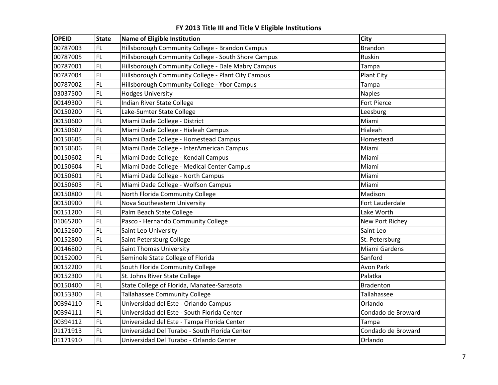| <b>OPEID</b> | <b>State</b> | Name of Eligible Institution                        | <b>City</b>        |
|--------------|--------------|-----------------------------------------------------|--------------------|
| 00787003     | <b>FL</b>    | Hillsborough Community College - Brandon Campus     | <b>Brandon</b>     |
| 00787005     | <b>FL</b>    | Hillsborough Community College - South Shore Campus | Ruskin             |
| 00787001     | FL           | Hillsborough Community College - Dale Mabry Campus  | Tampa              |
| 00787004     | <b>FL</b>    | Hillsborough Community College - Plant City Campus  | Plant City         |
| 00787002     | FL           | Hillsborough Community College - Ybor Campus        | Tampa              |
| 03037500     | FL.          | <b>Hodges University</b>                            | <b>Naples</b>      |
| 00149300     | <b>FL</b>    | Indian River State College                          | Fort Pierce        |
| 00150200     | <b>FL</b>    | Lake-Sumter State College                           | Leesburg           |
| 00150600     | FL           | Miami Dade College - District                       | Miami              |
| 00150607     | FL           | Miami Dade College - Hialeah Campus                 | Hialeah            |
| 00150605     | <b>FL</b>    | Miami Dade College - Homestead Campus               | Homestead          |
| 00150606     | FL           | Miami Dade College - InterAmerican Campus           | Miami              |
| 00150602     | <b>FL</b>    | Miami Dade College - Kendall Campus                 | Miami              |
| 00150604     | <b>FL</b>    | Miami Dade College - Medical Center Campus          | Miami              |
| 00150601     | <b>FL</b>    | Miami Dade College - North Campus                   | Miami              |
| 00150603     | <b>FL</b>    | Miami Dade College - Wolfson Campus                 | Miami              |
| 00150800     | FL           | North Florida Community College                     | Madison            |
| 00150900     | <b>FL</b>    | Nova Southeastern University                        | Fort Lauderdale    |
| 00151200     | FL           | Palm Beach State College                            | Lake Worth         |
| 01065200     | FL           | Pasco - Hernando Community College                  | New Port Richey    |
| 00152600     | <b>FL</b>    | Saint Leo University                                | Saint Leo          |
| 00152800     | <b>FL</b>    | Saint Petersburg College                            | St. Petersburg     |
| 00146800     | <b>FL</b>    | <b>Saint Thomas University</b>                      | Miami Gardens      |
| 00152000     | <b>FL</b>    | Seminole State College of Florida                   | Sanford            |
| 00152200     | <b>FL</b>    | South Florida Community College                     | <b>Avon Park</b>   |
| 00152300     | <b>FL</b>    | St. Johns River State College                       | Palatka            |
| 00150400     | <b>FL</b>    | State College of Florida, Manatee-Sarasota          | <b>Bradenton</b>   |
| 00153300     | FL           | Tallahassee Community College                       | Tallahassee        |
| 00394110     | FL           | Universidad del Este - Orlando Campus               | Orlando            |
| 00394111     | <b>FL</b>    | Universidad del Este - South Florida Center         | Condado de Broward |
| 00394112     | <b>FL</b>    | Universidad del Este - Tampa Florida Center         | Tampa              |
| 01171913     | <b>FL</b>    | Universidad Del Turabo - South Florida Center       | Condado de Broward |
| 01171910     | FL           | Universidad Del Turabo - Orlando Center             | Orlando            |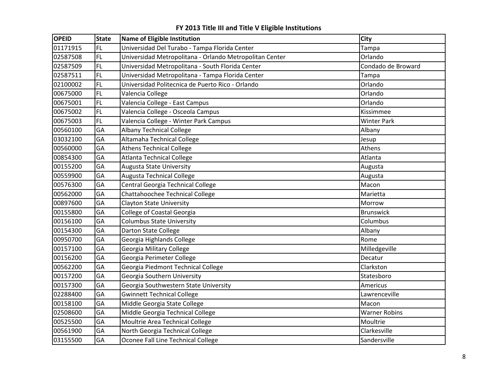| <b>OPEID</b> | <b>State</b> | <b>Name of Eligible Institution</b>                     | City                 |
|--------------|--------------|---------------------------------------------------------|----------------------|
| 01171915     | <b>FL</b>    | Universidad Del Turabo - Tampa Florida Center           | Tampa                |
| 02587508     | FL           | Universidad Metropolitana - Orlando Metropolitan Center | Orlando              |
| 02587509     | <b>FL</b>    | Universidad Metropolitana - South Florida Center        | Condado de Broward   |
| 02587511     | <b>FL</b>    | Universidad Metropolitana - Tampa Florida Center        | Tampa                |
| 02100002     | <b>FL</b>    | Universidad Politecnica de Puerto Rico - Orlando        | Orlando              |
| 00675000     | <b>FL</b>    | Valencia College                                        | Orlando              |
| 00675001     | FL           | Valencia College - East Campus                          | Orlando              |
| 00675002     | <b>FL</b>    | Valencia College - Osceola Campus                       | Kissimmee            |
| 00675003     | <b>FL</b>    | Valencia College - Winter Park Campus                   | <b>Winter Park</b>   |
| 00560100     | GA           | <b>Albany Technical College</b>                         | Albany               |
| 03032100     | GA           | Altamaha Technical College                              | Jesup                |
| 00560000     | GA           | <b>Athens Technical College</b>                         | Athens               |
| 00854300     | GA           | <b>Atlanta Technical College</b>                        | Atlanta              |
| 00155200     | GA           | <b>Augusta State University</b>                         | Augusta              |
| 00559900     | GA           | <b>Augusta Technical College</b>                        | Augusta              |
| 00576300     | GA           | Central Georgia Technical College                       | Macon                |
| 00562000     | GA           | Chattahoochee Technical College                         | Marietta             |
| 00897600     | GA           | <b>Clayton State University</b>                         | Morrow               |
| 00155800     | GA           | College of Coastal Georgia                              | <b>Brunswick</b>     |
| 00156100     | GA           | <b>Columbus State University</b>                        | Columbus             |
| 00154300     | GA           | Darton State College                                    | Albany               |
| 00950700     | GA           | Georgia Highlands College                               | Rome                 |
| 00157100     | GA           | Georgia Military College                                | Milledgeville        |
| 00156200     | GA           | Georgia Perimeter College                               | Decatur              |
| 00562200     | GA           | Georgia Piedmont Technical College                      | Clarkston            |
| 00157200     | GA           | Georgia Southern University                             | Statesboro           |
| 00157300     | GA           | Georgia Southwestern State University                   | Americus             |
| 02288400     | GA           | <b>Gwinnett Technical College</b>                       | Lawrenceville        |
| 00158100     | GA           | Middle Georgia State College                            | Macon                |
| 02508600     | GA           | Middle Georgia Technical College                        | <b>Warner Robins</b> |
| 00525500     | GA           | Moultrie Area Technical College                         | Moultrie             |
| 00561900     | GA           | North Georgia Technical College                         | Clarkesville         |
| 03155500     | GA           | Oconee Fall Line Technical College                      | Sandersville         |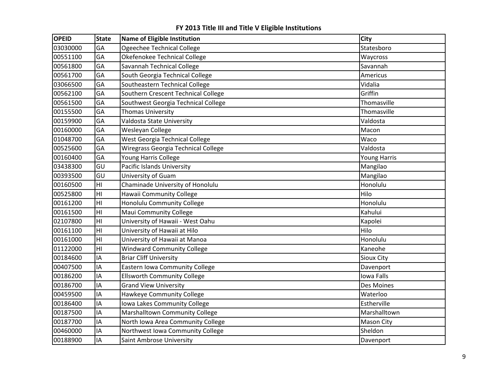| <b>OPEID</b> | <b>State</b>    | Name of Eligible Institution        | <b>City</b>       |
|--------------|-----------------|-------------------------------------|-------------------|
| 03030000     | GA              | Ogeechee Technical College          | Statesboro        |
| 00551100     | GA              | Okefenokee Technical College        | Waycross          |
| 00561800     | GA              | Savannah Technical College          | Savannah          |
| 00561700     | GA              | South Georgia Technical College     | Americus          |
| 03066500     | GA              | Southeastern Technical College      | Vidalia           |
| 00562100     | GA              | Southern Crescent Technical College | Griffin           |
| 00561500     | GA              | Southwest Georgia Technical College | Thomasville       |
| 00155500     | GA              | <b>Thomas University</b>            | Thomasville       |
| 00159900     | GA              | Valdosta State University           | Valdosta          |
| 00160000     | GA              | Wesleyan College                    | Macon             |
| 01048700     | GA              | West Georgia Technical College      | Waco              |
| 00525600     | GA              | Wiregrass Georgia Technical College | Valdosta          |
| 00160400     | GA              | Young Harris College                | Young Harris      |
| 03438300     | GU              | Pacific Islands University          | Mangilao          |
| 00393500     | GU              | University of Guam                  | Mangilao          |
| 00160500     | HI              | Chaminade University of Honolulu    | Honolulu          |
| 00525800     | H1              | Hawaii Community College            | Hilo              |
| 00161200     | H <sub>II</sub> | Honolulu Community College          | Honolulu          |
| 00161500     | H1              | <b>Maui Community College</b>       | Kahului           |
| 02107800     | H <sub>l</sub>  | University of Hawaii - West Oahu    | Kapolei           |
| 00161100     | H1              | University of Hawaii at Hilo        | Hilo              |
| 00161000     | H <sub>l</sub>  | University of Hawaii at Manoa       | Honolulu          |
| 01122000     | H <sub>l</sub>  | <b>Windward Community College</b>   | Kaneohe           |
| 00184600     | IA              | <b>Briar Cliff University</b>       | <b>Sioux City</b> |
| 00407500     | IA              | Eastern Iowa Community College      | Davenport         |
| 00186200     | ΙA              | <b>Ellsworth Community College</b>  | Iowa Falls        |
| 00186700     | IA              | <b>Grand View University</b>        | Des Moines        |
| 00459500     | IA              | Hawkeye Community College           | Waterloo          |
| 00186400     | IA              | Iowa Lakes Community College        | Estherville       |
| 00187500     | IA              | Marshalltown Community College      | Marshalltown      |
| 00187700     | ΙA              | North Iowa Area Community College   | Mason City        |
| 00460000     | IA              | Northwest Iowa Community College    | Sheldon           |
| 00188900     | IA              | Saint Ambrose University            | Davenport         |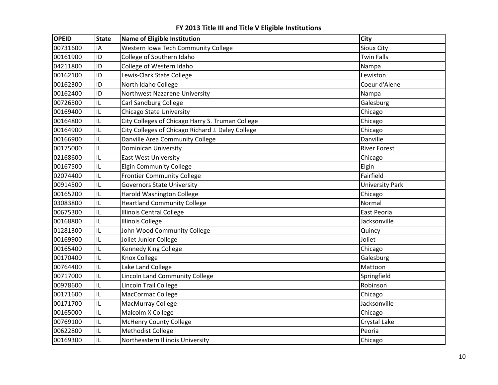| <b>OPEID</b> | <b>State</b> | Name of Eligible Institution                      | <b>City</b>            |
|--------------|--------------|---------------------------------------------------|------------------------|
| 00731600     | IA           | Western Iowa Tech Community College               | Sioux City             |
| 00161900     | ID           | College of Southern Idaho                         | <b>Twin Falls</b>      |
| 04211800     | ID           | College of Western Idaho                          | Nampa                  |
| 00162100     | ID           | Lewis-Clark State College                         | Lewiston               |
| 00162300     | ID           | North Idaho College                               | Coeur d'Alene          |
| 00162400     | ID           | Northwest Nazarene University                     | Nampa                  |
| 00726500     | IL           | Carl Sandburg College                             | Galesburg              |
| 00169400     | IL           | <b>Chicago State University</b>                   | Chicago                |
| 00164800     | IL           | City Colleges of Chicago Harry S. Truman College  | Chicago                |
| 00164900     | IL           | City Colleges of Chicago Richard J. Daley College | Chicago                |
| 00166900     | IL           | Danville Area Community College                   | Danville               |
| 00175000     | IL           | <b>Dominican University</b>                       | <b>River Forest</b>    |
| 02168600     | IL           | <b>East West University</b>                       | Chicago                |
| 00167500     | IL           | <b>Elgin Community College</b>                    | Elgin                  |
| 02074400     | IL           | <b>Frontier Community College</b>                 | Fairfield              |
| 00914500     | IL           | <b>Governors State University</b>                 | <b>University Park</b> |
| 00165200     | IL           | <b>Harold Washington College</b>                  | Chicago                |
| 03083800     | IL           | <b>Heartland Community College</b>                | Normal                 |
| 00675300     | IL           | <b>Illinois Central College</b>                   | East Peoria            |
| 00168800     | IL           | <b>Illinois College</b>                           | Jacksonville           |
| 01281300     | IL           | John Wood Community College                       | Quincy                 |
| 00169900     | IL           | Joliet Junior College                             | Joliet                 |
| 00165400     | IL           | Kennedy King College                              | Chicago                |
| 00170400     | IL           | Knox College                                      | Galesburg              |
| 00764400     | IL           | Lake Land College                                 | Mattoon                |
| 00717000     | IL           | Lincoln Land Community College                    | Springfield            |
| 00978600     | IL           | Lincoln Trail College                             | Robinson               |
| 00171600     | IL           | MacCormac College                                 | Chicago                |
| 00171700     | IL           | MacMurray College                                 | Jacksonville           |
| 00165000     | IL           | Malcolm X College                                 | Chicago                |
| 00769100     | IL           | <b>McHenry County College</b>                     | Crystal Lake           |
| 00622800     | IL           | <b>Methodist College</b>                          | Peoria                 |
| 00169300     | IL           | Northeastern Illinois University                  | Chicago                |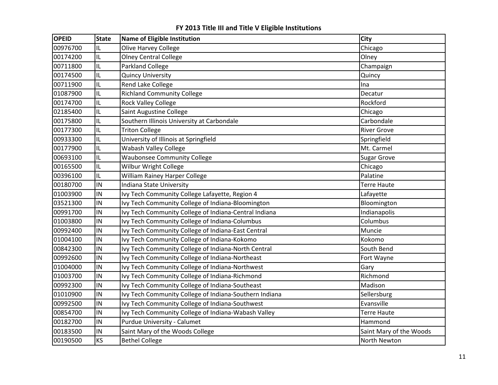| <b>OPEID</b> | <b>State</b> | <b>Name of Eligible Institution</b>                    | <b>City</b>             |
|--------------|--------------|--------------------------------------------------------|-------------------------|
| 00976700     | IL           | Olive Harvey College                                   | Chicago                 |
| 00174200     | IL           | <b>Olney Central College</b>                           | Olney                   |
| 00711800     | IL           | <b>Parkland College</b>                                | Champaign               |
| 00174500     | IL           | <b>Quincy University</b>                               | Quincy                  |
| 00711900     | IL           | Rend Lake College                                      | Ina                     |
| 01087900     | IL           | <b>Richland Community College</b>                      | Decatur                 |
| 00174700     | IL           | <b>Rock Valley College</b>                             | Rockford                |
| 02185400     | IL           | Saint Augustine College                                | Chicago                 |
| 00175800     | IL           | Southern Illinois University at Carbondale             | Carbondale              |
| 00177300     | IL           | <b>Triton College</b>                                  | <b>River Grove</b>      |
| 00933300     | IL           | University of Illinois at Springfield                  | Springfield             |
| 00177900     | IL           | <b>Wabash Valley College</b>                           | Mt. Carmel              |
| 00693100     | IL           | <b>Waubonsee Community College</b>                     | <b>Sugar Grove</b>      |
| 00165500     | IL           | Wilbur Wright College                                  | Chicago                 |
| 00396100     | IL           | William Rainey Harper College                          | Palatine                |
| 00180700     | IN           | Indiana State University                               | <b>Terre Haute</b>      |
| 01003900     | IN           | Ivy Tech Community College Lafayette, Region 4         | Lafayette               |
| 03521300     | IN           | Ivy Tech Community College of Indiana-Bloomington      | Bloomington             |
| 00991700     | IN           | Ivy Tech Community College of Indiana-Central Indiana  | Indianapolis            |
| 01003800     | IN           | Ivy Tech Community College of Indiana-Columbus         | Columbus                |
| 00992400     | IN           | Ivy Tech Community College of Indiana-East Central     | Muncie                  |
| 01004100     | IN           | Ivy Tech Community College of Indiana-Kokomo           | Kokomo                  |
| 00842300     | IN           | Ivy Tech Community College of Indiana-North Central    | South Bend              |
| 00992600     | IN           | Ivy Tech Community College of Indiana-Northeast        | Fort Wayne              |
| 01004000     | IN           | Ivy Tech Community College of Indiana-Northwest        | Gary                    |
| 01003700     | IN           | Ivy Tech Community College of Indiana-Richmond         | Richmond                |
| 00992300     | IN           | Ivy Tech Community College of Indiana-Southeast        | Madison                 |
| 01010900     | IN           | Ivy Tech Community College of Indiana-Southern Indiana | Sellersburg             |
| 00992500     | IN           | Ivy Tech Community College of Indiana-Southwest        | Evansville              |
| 00854700     | IN           | Ivy Tech Community College of Indiana-Wabash Valley    | <b>Terre Haute</b>      |
| 00182700     | IN           | Purdue University - Calumet                            | Hammond                 |
| 00183500     | IN           | Saint Mary of the Woods College                        | Saint Mary of the Woods |
| 00190500     | KS           | <b>Bethel College</b>                                  | North Newton            |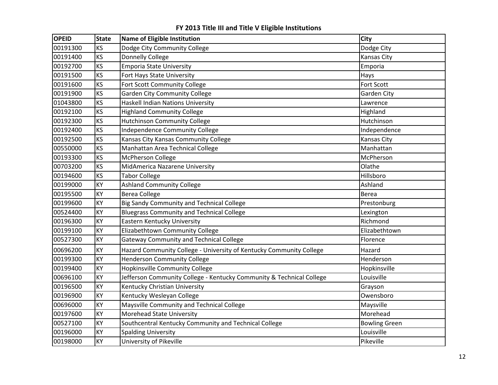| <b>OPEID</b> | <b>State</b> | Name of Eligible Institution                                         | City                 |
|--------------|--------------|----------------------------------------------------------------------|----------------------|
| 00191300     | KS           | Dodge City Community College                                         | Dodge City           |
| 00191400     | <b>KS</b>    | Donnelly College                                                     | Kansas City          |
| 00192700     | KS           | <b>Emporia State University</b>                                      | Emporia              |
| 00191500     | KS           | Fort Hays State University                                           | Hays                 |
| 00191600     | KS           | Fort Scott Community College                                         | <b>Fort Scott</b>    |
| 00191900     | KS           | <b>Garden City Community College</b>                                 | Garden City          |
| 01043800     | KS           | Haskell Indian Nations University                                    | Lawrence             |
| 00192100     | KS           | <b>Highland Community College</b>                                    | Highland             |
| 00192300     | KS           | <b>Hutchinson Community College</b>                                  | Hutchinson           |
| 00192400     | KS           | <b>Independence Community College</b>                                | Independence         |
| 00192500     | KS           | Kansas City Kansas Community College                                 | Kansas City          |
| 00550000     | KS           | Manhattan Area Technical College                                     | Manhattan            |
| 00193300     | KS           | McPherson College                                                    | McPherson            |
| 00703200     | KS           | MidAmerica Nazarene University                                       | Olathe               |
| 00194600     | KS           | <b>Tabor College</b>                                                 | Hillsboro            |
| 00199000     | KY           | <b>Ashland Community College</b>                                     | Ashland              |
| 00195500     | KY           | <b>Berea College</b>                                                 | Berea                |
| 00199600     | KY           | Big Sandy Community and Technical College                            | Prestonburg          |
| 00524400     | KY           | <b>Bluegrass Community and Technical College</b>                     | Lexington            |
| 00196300     | KY           | Eastern Kentucky University                                          | Richmond             |
| 00199100     | KY           | Elizabethtown Community College                                      | Elizabethtown        |
| 00527300     | KY           | <b>Gateway Community and Technical College</b>                       | Florence             |
| 00696200     | KY           | Hazard Community College - University of Kentucky Community College  | Hazard               |
| 00199300     | KY           | <b>Henderson Community College</b>                                   | Henderson            |
| 00199400     | KY           | <b>Hopkinsville Community College</b>                                | Hopkinsville         |
| 00696100     | KY           | Jefferson Community College - Kentucky Community & Technical College | Louisville           |
| 00196500     | KY           | Kentucky Christian University                                        | Grayson              |
| 00196900     | KY           | Kentucky Wesleyan College                                            | Owensboro            |
| 00696000     | KY           | Maysville Community and Technical College                            | Maysville            |
| 00197600     | KY           | Morehead State University                                            | Morehead             |
| 00527100     | KY           | Southcentral Kentucky Community and Technical College                | <b>Bowling Green</b> |
| 00196000     | KY           | <b>Spalding University</b>                                           | Louisville           |
| 00198000     | KY           | University of Pikeville                                              | Pikeville            |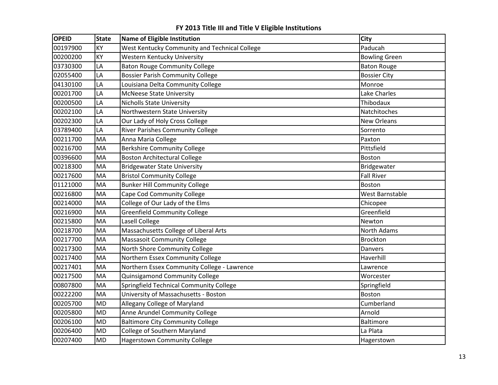| <b>OPEID</b> | <b>State</b> | Name of Eligible Institution                  | <b>City</b>          |
|--------------|--------------|-----------------------------------------------|----------------------|
| 00197900     | KY           | West Kentucky Community and Technical College | Paducah              |
| 00200200     | KY           | Western Kentucky University                   | <b>Bowling Green</b> |
| 03730300     | LA           | <b>Baton Rouge Community College</b>          | <b>Baton Rouge</b>   |
| 02055400     | LA           | <b>Bossier Parish Community College</b>       | <b>Bossier City</b>  |
| 04130100     | LA           | Louisiana Delta Community College             | Monroe               |
| 00201700     | LA           | <b>McNeese State University</b>               | Lake Charles         |
| 00200500     | LA           | <b>Nicholls State University</b>              | Thibodaux            |
| 00202100     | LA           | Northwestern State University                 | Natchitoches         |
| 00202300     | LA           | Our Lady of Holy Cross College                | <b>New Orleans</b>   |
| 03789400     | LA           | <b>River Parishes Community College</b>       | Sorrento             |
| 00211700     | MA           | Anna Maria College                            | Paxton               |
| 00216700     | MA           | <b>Berkshire Community College</b>            | Pittsfield           |
| 00396600     | MA           | <b>Boston Architectural College</b>           | <b>Boston</b>        |
| 00218300     | <b>MA</b>    | <b>Bridgewater State University</b>           | Bridgewater          |
| 00217600     | <b>MA</b>    | <b>Bristol Community College</b>              | <b>Fall River</b>    |
| 01121000     | MA           | <b>Bunker Hill Community College</b>          | <b>Boston</b>        |
| 00216800     | MA           | Cape Cod Community College                    | West Barnstable      |
| 00214000     | MA           | College of Our Lady of the Elms               | Chicopee             |
| 00216900     | <b>MA</b>    | <b>Greenfield Community College</b>           | Greenfield           |
| 00215800     | MA           | Lasell College                                | Newton               |
| 00218700     | MA           | Massachusetts College of Liberal Arts         | North Adams          |
| 00217700     | MA           | Massasoit Community College                   | <b>Brockton</b>      |
| 00217300     | MA           | North Shore Community College                 | Danvers              |
| 00217400     | MA           | Northern Essex Community College              | Haverhill            |
| 00217401     | MA           | Northern Essex Community College - Lawrence   | Lawrence             |
| 00217500     | MA           | Quinsigamond Community College                | Worcester            |
| 00807800     | MA           | Springfield Technical Community College       | Springfield          |
| 00222200     | <b>MA</b>    | University of Massachusetts - Boston          | <b>Boston</b>        |
| 00205700     | <b>MD</b>    | Allegany College of Maryland                  | Cumberland           |
| 00205800     | <b>MD</b>    | Anne Arundel Community College                | Arnold               |
| 00206100     | <b>MD</b>    | <b>Baltimore City Community College</b>       | Baltimore            |
| 00206400     | <b>MD</b>    | College of Southern Maryland                  | La Plata             |
| 00207400     | <b>MD</b>    | <b>Hagerstown Community College</b>           | Hagerstown           |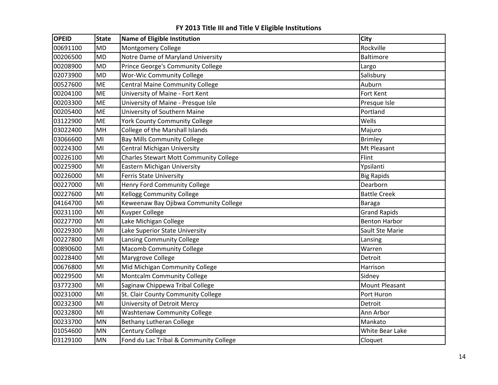| <b>OPEID</b> | <b>State</b> | Name of Eligible Institution                  | <b>City</b>          |
|--------------|--------------|-----------------------------------------------|----------------------|
| 00691100     | <b>MD</b>    | Montgomery College                            | Rockville            |
| 00206500     | <b>MD</b>    | Notre Dame of Maryland University             | Baltimore            |
| 00208900     | <b>MD</b>    | Prince George's Community College             | Largo                |
| 02073900     | <b>MD</b>    | <b>Wor-Wic Community College</b>              | Salisbury            |
| 00527600     | ME           | <b>Central Maine Community College</b>        | Auburn               |
| 00204100     | ME           | University of Maine - Fort Kent               | Fort Kent            |
| 00203300     | <b>ME</b>    | University of Maine - Presque Isle            | Presque Isle         |
| 00205400     | <b>ME</b>    | University of Southern Maine                  | Portland             |
| 03122900     | <b>ME</b>    | <b>York County Community College</b>          | Wells                |
| 03022400     | MH           | College of the Marshall Islands               | Majuro               |
| 03066600     | MI           | <b>Bay Mills Community College</b>            | <b>Brimley</b>       |
| 00224300     | MI           | <b>Central Michigan University</b>            | Mt Pleasant          |
| 00226100     | MI           | <b>Charles Stewart Mott Community College</b> | Flint                |
| 00225900     | MI           | <b>Eastern Michigan University</b>            | Ypsilanti            |
| 00226000     | MI           | <b>Ferris State University</b>                | <b>Big Rapids</b>    |
| 00227000     | MI           | Henry Ford Community College                  | Dearborn             |
| 00227600     | MI           | <b>Kellogg Community College</b>              | <b>Battle Creek</b>  |
| 04164700     | MI           | Keweenaw Bay Ojibwa Community College         | <b>Baraga</b>        |
| 00231100     | MI           | <b>Kuyper College</b>                         | <b>Grand Rapids</b>  |
| 00227700     | MI           | Lake Michigan College                         | <b>Benton Harbor</b> |
| 00229300     | MI           | Lake Superior State University                | Sault Ste Marie      |
| 00227800     | MI           | Lansing Community College                     | Lansing              |
| 00890600     | MI           | <b>Macomb Community College</b>               | Warren               |
| 00228400     | MI           | Marygrove College                             | Detroit              |
| 00676800     | MI           | Mid Michigan Community College                | Harrison             |
| 00229500     | MI           | Montcalm Community College                    | Sidney               |
| 03772300     | MI           | Saginaw Chippewa Tribal College               | Mount Pleasant       |
| 00231000     | MI           | St. Clair County Community College            | Port Huron           |
| 00232300     | MI           | University of Detroit Mercy                   | Detroit              |
| 00232800     | MI           | <b>Washtenaw Community College</b>            | Ann Arbor            |
| 00233700     | MN           | <b>Bethany Lutheran College</b>               | Mankato              |
| 01054600     | MN           | Century College                               | White Bear Lake      |
| 03129100     | <b>MN</b>    | Fond du Lac Tribal & Community College        | Cloquet              |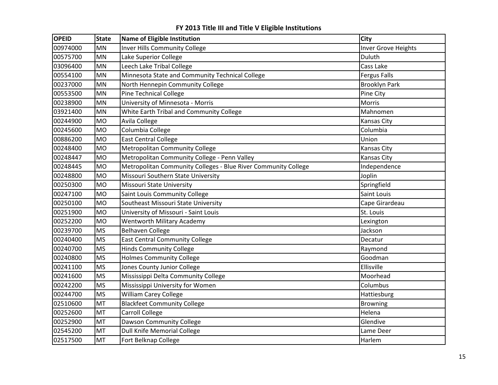| <b>OPEID</b> | <b>State</b> | Name of Eligible Institution                                   | City                       |
|--------------|--------------|----------------------------------------------------------------|----------------------------|
| 00974000     | MN           | <b>Inver Hills Community College</b>                           | <b>Inver Grove Heights</b> |
| 00575700     | <b>MN</b>    | Lake Superior College                                          | Duluth                     |
| 03096400     | MN           | Leech Lake Tribal College                                      | Cass Lake                  |
| 00554100     | MN           | Minnesota State and Community Technical College                | <b>Fergus Falls</b>        |
| 00237000     | <b>MN</b>    | North Hennepin Community College                               | <b>Brooklyn Park</b>       |
| 00553500     | <b>MN</b>    | <b>Pine Technical College</b>                                  | Pine City                  |
| 00238900     | MN           | University of Minnesota - Morris                               | Morris                     |
| 03921400     | <b>MN</b>    | White Earth Tribal and Community College                       | Mahnomen                   |
| 00244900     | <b>MO</b>    | Avila College                                                  | Kansas City                |
| 00245600     | <b>MO</b>    | Columbia College                                               | Columbia                   |
| 00886200     | <b>MO</b>    | <b>East Central College</b>                                    | Union                      |
| 00248400     | <b>MO</b>    | <b>Metropolitan Community College</b>                          | Kansas City                |
| 00248447     | <b>MO</b>    | Metropolitan Community College - Penn Valley                   | Kansas City                |
| 00248445     | <b>MO</b>    | Metropolitan Community Colleges - Blue River Community College | Independence               |
| 00248800     | <b>MO</b>    | Missouri Southern State University                             | Joplin                     |
| 00250300     | <b>MO</b>    | Missouri State University                                      | Springfield                |
| 00247100     | <b>MO</b>    | Saint Louis Community College                                  | Saint Louis                |
| 00250100     | <b>MO</b>    | Southeast Missouri State University                            | Cape Girardeau             |
| 00251900     | <b>MO</b>    | University of Missouri - Saint Louis                           | St. Louis                  |
| 00252200     | <b>MO</b>    | <b>Wentworth Military Academy</b>                              | Lexington                  |
| 00239700     | <b>MS</b>    | <b>Belhaven College</b>                                        | Jackson                    |
| 00240400     | <b>MS</b>    | <b>East Central Community College</b>                          | Decatur                    |
| 00240700     | <b>MS</b>    | <b>Hinds Community College</b>                                 | Raymond                    |
| 00240800     | <b>MS</b>    | <b>Holmes Community College</b>                                | Goodman                    |
| 00241100     | <b>MS</b>    | Jones County Junior College                                    | Ellisville                 |
| 00241600     | <b>MS</b>    | Mississippi Delta Community College                            | Moorhead                   |
| 00242200     | <b>MS</b>    | Mississippi University for Women                               | Columbus                   |
| 00244700     | <b>MS</b>    | William Carey College                                          | Hattiesburg                |
| 02510600     | MT           | <b>Blackfeet Community College</b>                             | <b>Browning</b>            |
| 00252600     | MT           | <b>Carroll College</b>                                         | Helena                     |
| 00252900     | MT           | Dawson Community College                                       | Glendive                   |
| 02545200     | MT           | <b>Dull Knife Memorial College</b>                             | Lame Deer                  |
| 02517500     | <b>MT</b>    | Fort Belknap College                                           | Harlem                     |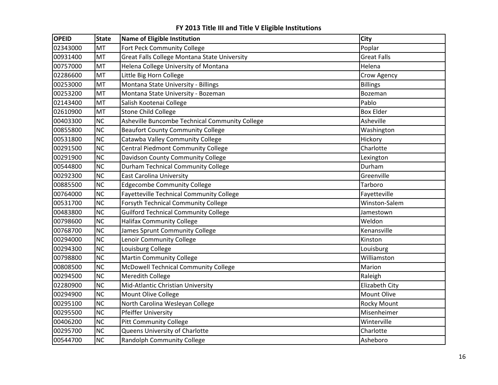| <b>OPEID</b> | <b>State</b> | Name of Eligible Institution                    | <b>City</b>        |
|--------------|--------------|-------------------------------------------------|--------------------|
| 02343000     | <b>MT</b>    | Fort Peck Community College                     | Poplar             |
| 00931400     | MT           | Great Falls College Montana State University    | <b>Great Falls</b> |
| 00757000     | <b>MT</b>    | Helena College University of Montana            | Helena             |
| 02286600     | MT           | Little Big Horn College                         | Crow Agency        |
| 00253000     | <b>MT</b>    | Montana State University - Billings             | <b>Billings</b>    |
| 00253200     | MT           | Montana State University - Bozeman              | Bozeman            |
| 02143400     | MT           | Salish Kootenai College                         | Pablo              |
| 02610900     | MT           | <b>Stone Child College</b>                      | <b>Box Elder</b>   |
| 00403300     | <b>NC</b>    | Asheville Buncombe Technical Community College  | Asheville          |
| 00855800     | NC           | <b>Beaufort County Community College</b>        | Washington         |
| 00531800     | <b>NC</b>    | Catawba Valley Community College                | Hickory            |
| 00291500     | <b>NC</b>    | Central Piedmont Community College              | Charlotte          |
| 00291900     | <b>NC</b>    | Davidson County Community College               | Lexington          |
| 00544800     | <b>NC</b>    | <b>Durham Technical Community College</b>       | Durham             |
| 00292300     | <b>NC</b>    | <b>East Carolina University</b>                 | Greenville         |
| 00885500     | NC           | <b>Edgecombe Community College</b>              | Tarboro            |
| 00764000     | <b>NC</b>    | <b>Fayetteville Technical Community College</b> | Fayetteville       |
| 00531700     | <b>NC</b>    | <b>Forsyth Technical Community College</b>      | Winston-Salem      |
| 00483800     | <b>NC</b>    | <b>Guilford Technical Community College</b>     | Jamestown          |
| 00798600     | <b>NC</b>    | <b>Halifax Community College</b>                | Weldon             |
| 00768700     | <b>NC</b>    | James Sprunt Community College                  | Kenansville        |
| 00294000     | <b>NC</b>    | Lenoir Community College                        | Kinston            |
| 00294300     | <b>NC</b>    | Louisburg College                               | Louisburg          |
| 00798800     | <b>NC</b>    | <b>Martin Community College</b>                 | Williamston        |
| 00808500     | <b>NC</b>    | McDowell Technical Community College            | Marion             |
| 00294500     | <b>NC</b>    | Meredith College                                | Raleigh            |
| 02280900     | <b>NC</b>    | Mid-Atlantic Christian University               | Elizabeth City     |
| 00294900     | <b>NC</b>    | Mount Olive College                             | Mount Olive        |
| 00295100     | <b>NC</b>    | North Carolina Wesleyan College                 | <b>Rocky Mount</b> |
| 00295500     | <b>NC</b>    | <b>Pfeiffer University</b>                      | Misenheimer        |
| 00406200     | <b>NC</b>    | <b>Pitt Community College</b>                   | Winterville        |
| 00295700     | <b>NC</b>    | Queens University of Charlotte                  | Charlotte          |
| 00544700     | <b>NC</b>    | <b>Randolph Community College</b>               | Asheboro           |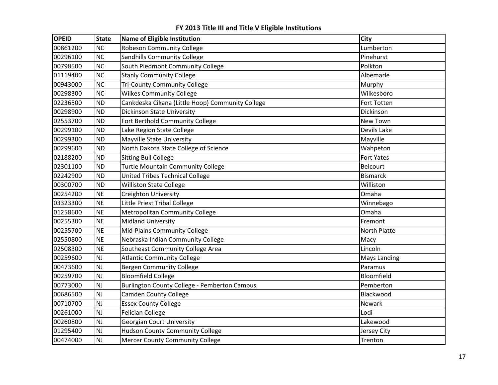| <b>OPEID</b> | <b>State</b> | <b>Name of Eligible Institution</b>                 | City                |
|--------------|--------------|-----------------------------------------------------|---------------------|
| 00861200     | <b>NC</b>    | <b>Robeson Community College</b>                    | Lumberton           |
| 00296100     | NC           | <b>Sandhills Community College</b>                  | Pinehurst           |
| 00798500     | <b>NC</b>    | South Piedmont Community College                    | Polkton             |
| 01119400     | NC           | <b>Stanly Community College</b>                     | Albemarle           |
| 00943000     | <b>NC</b>    | <b>Tri-County Community College</b>                 | Murphy              |
| 00298300     | NC           | <b>Wilkes Community College</b>                     | Wilkesboro          |
| 02236500     | <b>ND</b>    | Cankdeska Cikana (Little Hoop) Community College    | Fort Totten         |
| 00298900     | <b>ND</b>    | <b>Dickinson State University</b>                   | Dickinson           |
| 02553700     | <b>ND</b>    | Fort Berthold Community College                     | New Town            |
| 00299100     | <b>ND</b>    | Lake Region State College                           | Devils Lake         |
| 00299300     | <b>ND</b>    | <b>Mayville State University</b>                    | Mayville            |
| 00299600     | <b>ND</b>    | North Dakota State College of Science               | Wahpeton            |
| 02188200     | <b>ND</b>    | <b>Sitting Bull College</b>                         | <b>Fort Yates</b>   |
| 02301100     | <b>ND</b>    | <b>Turtle Mountain Community College</b>            | <b>Belcourt</b>     |
| 02242900     | <b>ND</b>    | <b>United Tribes Technical College</b>              | <b>Bismarck</b>     |
| 00300700     | <b>ND</b>    | Williston State College                             | Williston           |
| 00254200     | <b>NE</b>    | Creighton University                                | Omaha               |
| 03323300     | <b>NE</b>    | Little Priest Tribal College                        | Winnebago           |
| 01258600     | <b>NE</b>    | Metropolitan Community College                      | Omaha               |
| 00255300     | <b>NE</b>    | <b>Midland University</b>                           | Fremont             |
| 00255700     | <b>NE</b>    | Mid-Plains Community College                        | North Platte        |
| 02550800     | <b>NE</b>    | Nebraska Indian Community College                   | Macy                |
| 02508300     | <b>NE</b>    | Southeast Community College Area                    | Lincoln             |
| 00259600     | <b>NJ</b>    | <b>Atlantic Community College</b>                   | <b>Mays Landing</b> |
| 00473600     | <b>NJ</b>    | <b>Bergen Community College</b>                     | Paramus             |
| 00259700     | <b>NJ</b>    | <b>Bloomfield College</b>                           | Bloomfield          |
| 00773000     | <b>NJ</b>    | <b>Burlington County College - Pemberton Campus</b> | Pemberton           |
| 00686500     | <b>NJ</b>    | <b>Camden County College</b>                        | Blackwood           |
| 00710700     | NJ           | <b>Essex County College</b>                         | Newark              |
| 00261000     | <b>NJ</b>    | <b>Felician College</b>                             | Lodi                |
| 00260800     | <b>NJ</b>    | <b>Georgian Court University</b>                    | Lakewood            |
| 01295400     | NJ           | <b>Hudson County Community College</b>              | Jersey City         |
| 00474000     | <b>NJ</b>    | <b>Mercer County Community College</b>              | Trenton             |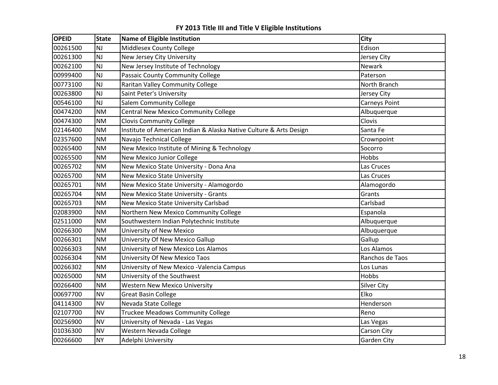| <b>OPEID</b> | <b>State</b> | Name of Eligible Institution                                       | <b>City</b>        |
|--------------|--------------|--------------------------------------------------------------------|--------------------|
| 00261500     | <b>NJ</b>    | Middlesex County College                                           | Edison             |
| 00261300     | NJ           | New Jersey City University                                         | Jersey City        |
| 00262100     | NJ           | New Jersey Institute of Technology                                 | Newark             |
| 00999400     | <b>NJ</b>    | Passaic County Community College                                   | Paterson           |
| 00773100     | <b>NJ</b>    | Raritan Valley Community College                                   | North Branch       |
| 00263800     | <b>NJ</b>    | Saint Peter's University                                           | Jersey City        |
| 00546100     | NJ           | <b>Salem Community College</b>                                     | Carneys Point      |
| 00474200     | <b>NM</b>    | Central New Mexico Community College                               | Albuquerque        |
| 00474300     | <b>NM</b>    | <b>Clovis Community College</b>                                    | Clovis             |
| 02146400     | <b>NM</b>    | Institute of American Indian & Alaska Native Culture & Arts Design | Santa Fe           |
| 02357600     | <b>NM</b>    | Navajo Technical College                                           | Crownpoint         |
| 00265400     | <b>NM</b>    | New Mexico Institute of Mining & Technology                        | Socorro            |
| 00265500     | <b>NM</b>    | New Mexico Junior College                                          | Hobbs              |
| 00265702     | <b>NM</b>    | New Mexico State University - Dona Ana                             | Las Cruces         |
| 00265700     | <b>NM</b>    | <b>New Mexico State University</b>                                 | Las Cruces         |
| 00265701     | <b>NM</b>    | New Mexico State University - Alamogordo                           | Alamogordo         |
| 00265704     | <b>NM</b>    | New Mexico State University - Grants                               | Grants             |
| 00265703     | <b>NM</b>    | New Mexico State University Carlsbad                               | Carlsbad           |
| 02083900     | <b>NM</b>    | Northern New Mexico Community College                              | Espanola           |
| 02511000     | <b>NM</b>    | Southwestern Indian Polytechnic Institute                          | Albuquerque        |
| 00266300     | <b>NM</b>    | <b>University of New Mexico</b>                                    | Albuquerque        |
| 00266301     | <b>NM</b>    | University Of New Mexico Gallup                                    | Gallup             |
| 00266303     | <b>NM</b>    | University of New Mexico Los Alamos                                | Los Alamos         |
| 00266304     | <b>NM</b>    | University Of New Mexico Taos                                      | Ranchos de Taos    |
| 00266302     | <b>NM</b>    | University of New Mexico - Valencia Campus                         | Los Lunas          |
| 00265000     | <b>NM</b>    | University of the Southwest                                        | Hobbs              |
| 00266400     | <b>NM</b>    | <b>Western New Mexico University</b>                               | <b>Silver City</b> |
| 00697700     | <b>NV</b>    | <b>Great Basin College</b>                                         | Elko               |
| 04114300     | <b>NV</b>    | Nevada State College                                               | Henderson          |
| 02107700     | <b>NV</b>    | <b>Truckee Meadows Community College</b>                           | Reno               |
| 00256900     | <b>NV</b>    | University of Nevada - Las Vegas                                   | Las Vegas          |
| 01036300     | <b>NV</b>    | Western Nevada College                                             | Carson City        |
| 00266600     | <b>NY</b>    | Adelphi University                                                 | <b>Garden City</b> |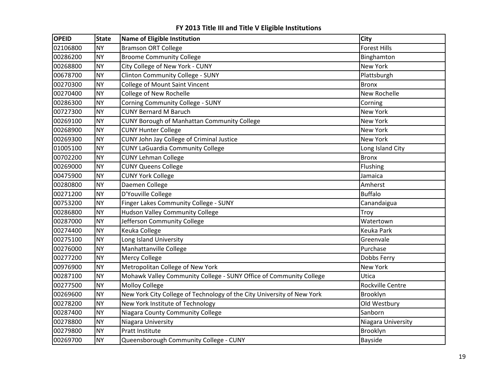| <b>OPEID</b> | <b>State</b> | <b>Name of Eligible Institution</b>                                    | City                |
|--------------|--------------|------------------------------------------------------------------------|---------------------|
| 02106800     | <b>NY</b>    | <b>Bramson ORT College</b>                                             | <b>Forest Hills</b> |
| 00286200     | <b>NY</b>    | <b>Broome Community College</b>                                        | Binghamton          |
| 00268800     | <b>NY</b>    | City College of New York - CUNY                                        | New York            |
| 00678700     | <b>NY</b>    | <b>Clinton Community College - SUNY</b>                                | Plattsburgh         |
| 00270300     | <b>NY</b>    | College of Mount Saint Vincent                                         | <b>Bronx</b>        |
| 00270400     | <b>NY</b>    | College of New Rochelle                                                | New Rochelle        |
| 00286300     | <b>NY</b>    | Corning Community College - SUNY                                       | Corning             |
| 00727300     | <b>NY</b>    | <b>CUNY Bernard M Baruch</b>                                           | New York            |
| 00269100     | <b>NY</b>    | CUNY Borough of Manhattan Community College                            | New York            |
| 00268900     | <b>NY</b>    | <b>CUNY Hunter College</b>                                             | New York            |
| 00269300     | <b>NY</b>    | CUNY John Jay College of Criminal Justice                              | New York            |
| 01005100     | <b>NY</b>    | <b>CUNY LaGuardia Community College</b>                                | Long Island City    |
| 00702200     | <b>NY</b>    | <b>CUNY Lehman College</b>                                             | <b>Bronx</b>        |
| 00269000     | <b>NY</b>    | <b>CUNY Queens College</b>                                             | Flushing            |
| 00475900     | <b>NY</b>    | <b>CUNY York College</b>                                               | Jamaica             |
| 00280800     | <b>NY</b>    | Daemen College                                                         | Amherst             |
| 00271200     | <b>NY</b>    | D'Youville College                                                     | <b>Buffalo</b>      |
| 00753200     | <b>NY</b>    | Finger Lakes Community College - SUNY                                  | Canandaigua         |
| 00286800     | <b>NY</b>    | <b>Hudson Valley Community College</b>                                 | Troy                |
| 00287000     | <b>NY</b>    | Jefferson Community College                                            | Watertown           |
| 00274400     | <b>NY</b>    | Keuka College                                                          | Keuka Park          |
| 00275100     | <b>NY</b>    | Long Island University                                                 | Greenvale           |
| 00276000     | <b>NY</b>    | Manhattanville College                                                 | Purchase            |
| 00277200     | <b>NY</b>    | Mercy College                                                          | Dobbs Ferry         |
| 00976900     | <b>NY</b>    | Metropolitan College of New York                                       | <b>New York</b>     |
| 00287100     | <b>NY</b>    | Mohawk Valley Community College - SUNY Office of Community College     | Utica               |
| 00277500     | <b>NY</b>    | <b>Molloy College</b>                                                  | Rockville Centre    |
| 00269600     | <b>NY</b>    | New York City College of Technology of the City University of New York | Brooklyn            |
| 00278200     | <b>NY</b>    | New York Institute of Technology                                       | Old Westbury        |
| 00287400     | <b>NY</b>    | Niagara County Community College                                       | Sanborn             |
| 00278800     | <b>NY</b>    | Niagara University                                                     | Niagara University  |
| 00279800     | <b>NY</b>    | Pratt Institute                                                        | Brooklyn            |
| 00269700     | <b>NY</b>    | Queensborough Community College - CUNY                                 | Bayside             |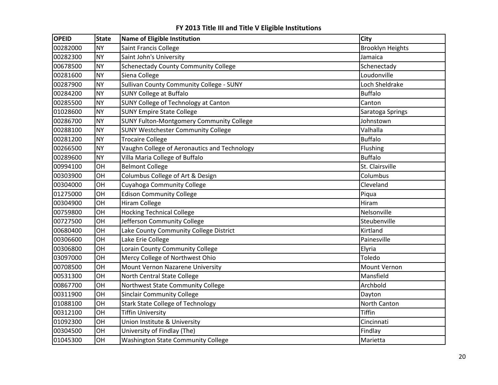| <b>OPEID</b> | <b>State</b> | <b>Name of Eligible Institution</b>             | <b>City</b>             |
|--------------|--------------|-------------------------------------------------|-------------------------|
| 00282000     | <b>NY</b>    | Saint Francis College                           | <b>Brooklyn Heights</b> |
| 00282300     | <b>NY</b>    | Saint John's University                         | Jamaica                 |
| 00678500     | <b>NY</b>    | <b>Schenectady County Community College</b>     | Schenectady             |
| 00281600     | <b>NY</b>    | Siena College                                   | Loudonville             |
| 00287900     | <b>NY</b>    | Sullivan County Community College - SUNY        | Loch Sheldrake          |
| 00284200     | <b>NY</b>    | <b>SUNY College at Buffalo</b>                  | <b>Buffalo</b>          |
| 00285500     | <b>NY</b>    | SUNY College of Technology at Canton            | Canton                  |
| 01028600     | <b>NY</b>    | <b>SUNY Empire State College</b>                | Saratoga Springs        |
| 00286700     | <b>NY</b>    | <b>SUNY Fulton-Montgomery Community College</b> | Johnstown               |
| 00288100     | <b>NY</b>    | <b>SUNY Westchester Community College</b>       | Valhalla                |
| 00281200     | <b>NY</b>    | <b>Trocaire College</b>                         | <b>Buffalo</b>          |
| 00266500     | <b>NY</b>    | Vaughn College of Aeronautics and Technology    | Flushing                |
| 00289600     | <b>NY</b>    | Villa Maria College of Buffalo                  | <b>Buffalo</b>          |
| 00994100     | OH           | <b>Belmont College</b>                          | St. Clairsville         |
| 00303900     | OH           | Columbus College of Art & Design                | Columbus                |
| 00304000     | OH           | Cuyahoga Community College                      | Cleveland               |
| 01275000     | OH           | <b>Edison Community College</b>                 | Piqua                   |
| 00304900     | OH           | <b>Hiram College</b>                            | Hiram                   |
| 00759800     | OH           | <b>Hocking Technical College</b>                | Nelsonville             |
| 00727500     | OH           | Jefferson Community College                     | Steubenville            |
| 00680400     | OH           | Lake County Community College District          | Kirtland                |
| 00306600     | OH           | Lake Erie College                               | Painesville             |
| 00306800     | OH           | Lorain County Community College                 | Elyria                  |
| 03097000     | OH           | Mercy College of Northwest Ohio                 | Toledo                  |
| 00708500     | OH           | Mount Vernon Nazarene University                | Mount Vernon            |
| 00531300     | OH           | North Central State College                     | Mansfield               |
| 00867700     | OH           | Northwest State Community College               | Archbold                |
| 00311900     | OH           | <b>Sinclair Community College</b>               | Dayton                  |
| 01088100     | OH           | <b>Stark State College of Technology</b>        | North Canton            |
| 00312100     | OH           | <b>Tiffin University</b>                        | Tiffin                  |
| 01092300     | OH           | Union Institute & University                    | Cincinnati              |
| 00304500     | OH           | University of Findlay (The)                     | Findlay                 |
| 01045300     | OH           | <b>Washington State Community College</b>       | Marietta                |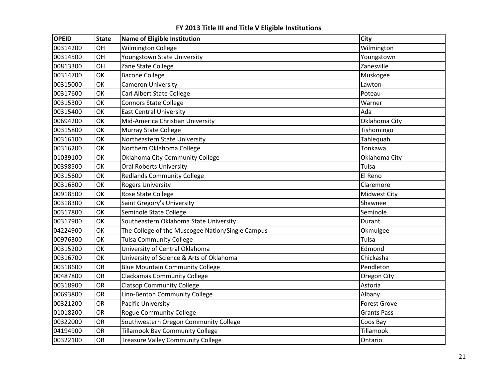| <b>OPEID</b> | <b>State</b> | <b>Name of Eligible Institution</b>              | <b>City</b>         |
|--------------|--------------|--------------------------------------------------|---------------------|
| 00314200     | OH           | <b>Wilmington College</b>                        | Wilmington          |
| 00314500     | OH           | Youngstown State University                      | Youngstown          |
| 00813300     | OH           | Zane State College                               | Zanesville          |
| 00314700     | OK           | <b>Bacone College</b>                            | Muskogee            |
| 00315000     | OK           | <b>Cameron University</b>                        | Lawton              |
| 00317600     | OK           | Carl Albert State College                        | Poteau              |
| 00315300     | OK           | <b>Connors State College</b>                     | Warner              |
| 00315400     | OK           | <b>East Central University</b>                   | Ada                 |
| 00694200     | OK           | Mid-America Christian University                 | Oklahoma City       |
| 00315800     | OK           | <b>Murray State College</b>                      | Tishomingo          |
| 00316100     | OK           | Northeastern State University                    | Tahlequah           |
| 00316200     | OK           | Northern Oklahoma College                        | Tonkawa             |
| 01039100     | OK           | Oklahoma City Community College                  | Oklahoma City       |
| 00398500     | OK           | <b>Oral Roberts University</b>                   | Tulsa               |
| 00315600     | OK           | <b>Redlands Community College</b>                | El Reno             |
| 00316800     | OK           | <b>Rogers University</b>                         | Claremore           |
| 00918500     | OK           | Rose State College                               | <b>Midwest City</b> |
| 00318300     | OK           | Saint Gregory's University                       | Shawnee             |
| 00317800     | OK           | Seminole State College                           | Seminole            |
| 00317900     | OK           | Southeastern Oklahoma State University           | Durant              |
| 04224900     | OK           | The College of the Muscogee Nation/Single Campus | Okmulgee            |
| 00976300     | OK           | <b>Tulsa Community College</b>                   | Tulsa               |
| 00315200     | OK           | University of Central Oklahoma                   | Edmond              |
| 00316700     | OK           | University of Science & Arts of Oklahoma         | Chickasha           |
| 00318600     | <b>OR</b>    | <b>Blue Mountain Community College</b>           | Pendleton           |
| 00487800     | OR           | <b>Clackamas Community College</b>               | Oregon City         |
| 00318900     | <b>OR</b>    | <b>Clatsop Community College</b>                 | Astoria             |
| 00693800     | <b>OR</b>    | Linn-Benton Community College                    | Albany              |
| 00321200     | OR           | <b>Pacific University</b>                        | <b>Forest Grove</b> |
| 01018200     | OR           | <b>Rogue Community College</b>                   | <b>Grants Pass</b>  |
| 00322000     | OR           | Southwestern Oregon Community College            | Coos Bay            |
| 04194900     | <b>OR</b>    | <b>Tillamook Bay Community College</b>           | Tillamook           |
| 00322100     | OR           | <b>Treasure Valley Community College</b>         | Ontario             |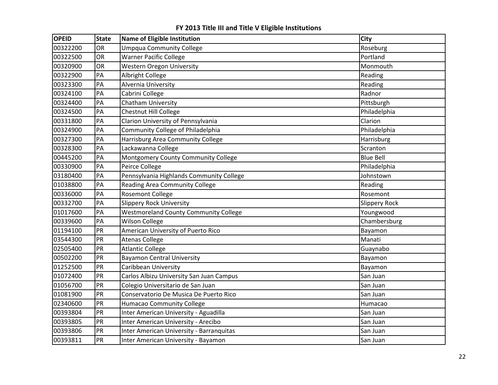| <b>OPEID</b> | <b>State</b> | Name of Eligible Institution                 | City                 |
|--------------|--------------|----------------------------------------------|----------------------|
| 00322200     | <b>OR</b>    | <b>Umpqua Community College</b>              | Roseburg             |
| 00322500     | OR           | <b>Warner Pacific College</b>                | Portland             |
| 00320900     | OR           | <b>Western Oregon University</b>             | Monmouth             |
| 00322900     | PA           | Albright College                             | Reading              |
| 00323300     | PA           | Alvernia University                          | Reading              |
| 00324100     | PA           | Cabrini College                              | Radnor               |
| 00324400     | PA           | Chatham University                           | Pittsburgh           |
| 00324500     | PA           | <b>Chestnut Hill College</b>                 | Philadelphia         |
| 00331800     | PA           | Clarion University of Pennsylvania           | Clarion              |
| 00324900     | PA           | Community College of Philadelphia            | Philadelphia         |
| 00327300     | PA           | Harrisburg Area Community College            | Harrisburg           |
| 00328300     | PA           | Lackawanna College                           | Scranton             |
| 00445200     | PA           | Montgomery County Community College          | <b>Blue Bell</b>     |
| 00330900     | PA           | Peirce College                               | Philadelphia         |
| 03180400     | PA           | Pennsylvania Highlands Community College     | Johnstown            |
| 01038800     | PA           | <b>Reading Area Community College</b>        | Reading              |
| 00336000     | PA           | <b>Rosemont College</b>                      | Rosemont             |
| 00332700     | PA           | <b>Slippery Rock University</b>              | <b>Slippery Rock</b> |
| 01017600     | PA           | <b>Westmoreland County Community College</b> | Youngwood            |
| 00339600     | PA           | <b>Wilson College</b>                        | Chambersburg         |
| 01194100     | PR           | American University of Puerto Rico           | Bayamon              |
| 03544300     | PR           | <b>Atenas College</b>                        | Manati               |
| 02505400     | PR           | <b>Atlantic College</b>                      | Guaynabo             |
| 00502200     | PR           | <b>Bayamon Central University</b>            | Bayamon              |
| 01252500     | PR           | Caribbean University                         | Bayamon              |
| 01072400     | PR           | Carlos Albizu University San Juan Campus     | San Juan             |
| 01056700     | PR           | Colegio Universitario de San Juan            | San Juan             |
| 01081900     | PR           | Conservatorio De Musica De Puerto Rico       | San Juan             |
| 02340600     | PR           | <b>Humacao Community College</b>             | Humacao              |
| 00393804     | PR           | Inter American University - Aguadilla        | San Juan             |
| 00393805     | PR           | Inter American University - Arecibo          | San Juan             |
| 00393806     | PR           | Inter American University - Barranquitas     | San Juan             |
| 00393811     | PR           | Inter American University - Bayamon          | San Juan             |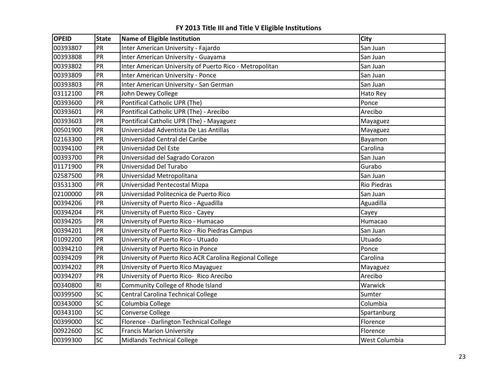| <b>OPEID</b> | <b>State</b>   | Name of Eligible Institution                            | City               |
|--------------|----------------|---------------------------------------------------------|--------------------|
| 00393807     | PR             | Inter American University - Fajardo                     | San Juan           |
| 00393808     | PR             | Inter American University - Guayama                     | San Juan           |
| 00393802     | PR             | Inter American University of Puerto Rico - Metropolitan | San Juan           |
| 00393809     | PR             | <b>Inter American University - Ponce</b>                | San Juan           |
| 00393803     | PR             | Inter American University - San German                  | San Juan           |
| 03112100     | PR             | John Dewey College                                      | Hato Rey           |
| 00393600     | PR             | Pontifical Catholic UPR (The)                           | Ponce              |
| 00393601     | PR             | Pontifical Catholic UPR (The) - Arecibo                 | Arecibo            |
| 00393603     | PR             | Pontifical Catholic UPR (The) - Mayaguez                | Mayaguez           |
| 00501900     | PR             | Universidad Adventista De Las Antillas                  | Mayaguez           |
| 02163300     | PR             | Universidad Central del Caribe                          | Bayamon            |
| 00394100     | PR             | Universidad Del Este                                    | Carolina           |
| 00393700     | PR             | Universidad del Sagrado Corazon                         | San Juan           |
| 01171900     | PR             | Universidad Del Turabo                                  | Gurabo             |
| 02587500     | PR             | Universidad Metropolitana                               | San Juan           |
| 03531300     | PR             | Universidad Pentecostal Mizpa                           | <b>Rio Piedras</b> |
| 02100000     | PR             | Universidad Politecnica de Puerto Rico                  | San Juan           |
| 00394206     | PR             | University of Puerto Rico - Aguadilla                   | Aguadilla          |
| 00394204     | PR             | University of Puerto Rico - Cayey                       | Cayey              |
| 00394205     | PR             | University of Puerto Rico - Humacao                     | Humacao            |
| 00394201     | PR             | University of Puerto Rico - Rio Piedras Campus          | San Juan           |
| 01092200     | PR             | University of Puerto Rico - Utuado                      | Utuado             |
| 00394210     | PR             | University of Puerto Rico in Ponce                      | Ponce              |
| 00394209     | PR             | University of Puerto Rico ACR Carolina Regional College | Carolina           |
| 00394202     | PR             | University of Puerto Rico Mayaguez                      | Mayaguez           |
| 00394207     | PR             | University of Puerto Rico- Rico Arecibo                 | Arecibo            |
| 00340800     | R <sub>l</sub> | Community College of Rhode Island                       | Warwick            |
| 00399500     | <b>SC</b>      | Central Carolina Technical College                      | Sumter             |
| 00343000     | <b>SC</b>      | Columbia College                                        | Columbia           |
| 00343100     | <b>SC</b>      | <b>Converse College</b>                                 | Spartanburg        |
| 00399000     | SC             | Florence - Darlington Technical College                 | Florence           |
| 00922600     | <b>SC</b>      | <b>Francis Marion University</b>                        | Florence           |
| 00399300     | <b>SC</b>      | <b>Midlands Technical College</b>                       | West Columbia      |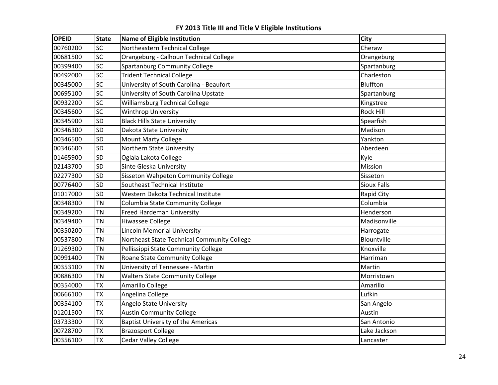| <b>OPEID</b> | <b>State</b> | Name of Eligible Institution                | <b>City</b>        |
|--------------|--------------|---------------------------------------------|--------------------|
| 00760200     | <b>SC</b>    | Northeastern Technical College              | Cheraw             |
| 00681500     | <b>SC</b>    | Orangeburg - Calhoun Technical College      | Orangeburg         |
| 00399400     | <b>SC</b>    | <b>Spartanburg Community College</b>        | Spartanburg        |
| 00492000     | SC           | <b>Trident Technical College</b>            | Charleston         |
| 00345000     | <b>SC</b>    | University of South Carolina - Beaufort     | Bluffton           |
| 00695100     | SC           | University of South Carolina Upstate        | Spartanburg        |
| 00932200     | SC           | <b>Williamsburg Technical College</b>       | Kingstree          |
| 00345600     | <b>SC</b>    | <b>Winthrop University</b>                  | Rock Hill          |
| 00345900     | <b>SD</b>    | <b>Black Hills State University</b>         | Spearfish          |
| 00346300     | <b>SD</b>    | Dakota State University                     | Madison            |
| 00346500     | <b>SD</b>    | <b>Mount Marty College</b>                  | Yankton            |
| 00346600     | <b>SD</b>    | Northern State University                   | Aberdeen           |
| 01465900     | <b>SD</b>    | Oglala Lakota College                       | Kyle               |
| 02143700     | <b>SD</b>    | Sinte Gleska University                     | Mission            |
| 02277300     | <b>SD</b>    | Sisseton Wahpeton Community College         | Sisseton           |
| 00776400     | SD           | Southeast Technical Institute               | <b>Sioux Falls</b> |
| 01017000     | SD           | Western Dakota Technical Institute          | Rapid City         |
| 00348300     | <b>TN</b>    | Columbia State Community College            | Columbia           |
| 00349200     | <b>TN</b>    | <b>Freed Hardeman University</b>            | Henderson          |
| 00349400     | <b>TN</b>    | <b>Hiwassee College</b>                     | Madisonville       |
| 00350200     | <b>TN</b>    | Lincoln Memorial University                 | Harrogate          |
| 00537800     | <b>TN</b>    | Northeast State Technical Community College | Blountville        |
| 01269300     | <b>TN</b>    | Pellissippi State Community College         | Knoxville          |
| 00991400     | <b>TN</b>    | Roane State Community College               | Harriman           |
| 00353100     | <b>TN</b>    | University of Tennessee - Martin            | Martin             |
| 00886300     | <b>TN</b>    | <b>Walters State Community College</b>      | Morristown         |
| 00354000     | <b>TX</b>    | Amarillo College                            | Amarillo           |
| 00666100     | <b>TX</b>    | Angelina College                            | Lufkin             |
| 00354100     | <b>TX</b>    | Angelo State University                     | San Angelo         |
| 01201500     | <b>TX</b>    | <b>Austin Community College</b>             | Austin             |
| 03733300     | <b>TX</b>    | <b>Baptist University of the Americas</b>   | San Antonio        |
| 00728700     | <b>TX</b>    | <b>Brazosport College</b>                   | Lake Jackson       |
| 00356100     | <b>TX</b>    | <b>Cedar Valley College</b>                 | Lancaster          |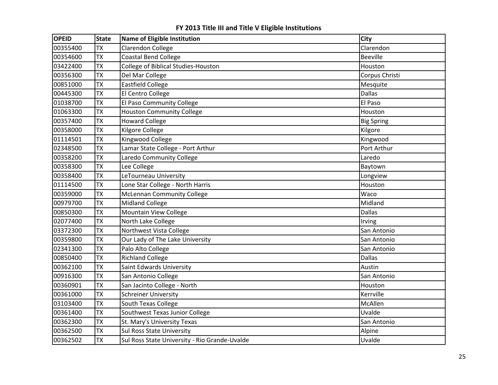| <b>OPEID</b> | <b>State</b> | <b>Name of Eligible Institution</b>           | City              |
|--------------|--------------|-----------------------------------------------|-------------------|
| 00355400     | <b>TX</b>    | <b>Clarendon College</b>                      | Clarendon         |
| 00354600     | <b>TX</b>    | Coastal Bend College                          | <b>Beeville</b>   |
| 03422400     | <b>TX</b>    | College of Biblical Studies-Houston           | Houston           |
| 00356300     | <b>TX</b>    | Del Mar College                               | Corpus Christi    |
| 00851000     | <b>TX</b>    | <b>Eastfield College</b>                      | Mesquite          |
| 00445300     | <b>TX</b>    | El Centro College                             | <b>Dallas</b>     |
| 01038700     | <b>TX</b>    | El Paso Community College                     | El Paso           |
| 01063300     | <b>TX</b>    | <b>Houston Community College</b>              | Houston           |
| 00357400     | <b>TX</b>    | <b>Howard College</b>                         | <b>Big Spring</b> |
| 00358000     | <b>TX</b>    | <b>Kilgore College</b>                        | Kilgore           |
| 01114501     | <b>TX</b>    | Kingwood College                              | Kingwood          |
| 02348500     | <b>TX</b>    | Lamar State College - Port Arthur             | Port Arthur       |
| 00358200     | <b>TX</b>    | Laredo Community College                      | Laredo            |
| 00358300     | <b>TX</b>    | Lee College                                   | Baytown           |
| 00358400     | <b>TX</b>    | LeTourneau University                         | Longview          |
| 01114500     | <b>TX</b>    | Lone Star College - North Harris              | Houston           |
| 00359000     | <b>TX</b>    | <b>McLennan Community College</b>             | Waco              |
| 00979700     | <b>TX</b>    | <b>Midland College</b>                        | Midland           |
| 00850300     | <b>TX</b>    | <b>Mountain View College</b>                  | <b>Dallas</b>     |
| 02077400     | <b>TX</b>    | North Lake College                            | Irving            |
| 03372300     | <b>TX</b>    | Northwest Vista College                       | San Antonio       |
| 00359800     | <b>TX</b>    | Our Lady of The Lake University               | San Antonio       |
| 02341300     | <b>TX</b>    | Palo Alto College                             | San Antonio       |
| 00850400     | <b>TX</b>    | <b>Richland College</b>                       | <b>Dallas</b>     |
| 00362100     | <b>TX</b>    | Saint Edwards University                      | Austin            |
| 00916300     | <b>TX</b>    | San Antonio College                           | San Antonio       |
| 00360901     | <b>TX</b>    | San Jacinto College - North                   | Houston           |
| 00361000     | <b>TX</b>    | <b>Schreiner University</b>                   | Kerrville         |
| 03103400     | <b>TX</b>    | South Texas College                           | McAllen           |
| 00361400     | <b>TX</b>    | Southwest Texas Junior College                | Uvalde            |
| 00362300     | <b>TX</b>    | St. Mary's University Texas                   | San Antonio       |
| 00362500     | <b>TX</b>    | <b>Sul Ross State University</b>              | Alpine            |
| 00362502     | <b>TX</b>    | Sul Ross State University - Rio Grande-Uvalde | Uvalde            |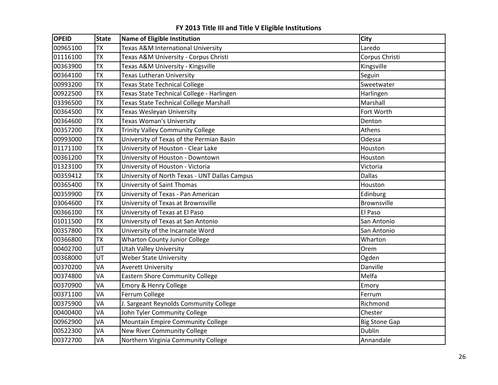| <b>OPEID</b> | <b>State</b> | Name of Eligible Institution                  | <b>City</b>          |
|--------------|--------------|-----------------------------------------------|----------------------|
| 00965100     | <b>TX</b>    | Texas A&M International University            | Laredo               |
| 01116100     | <b>TX</b>    | Texas A&M University - Corpus Christi         | Corpus Christi       |
| 00363900     | <b>TX</b>    | Texas A&M University - Kingsville             | Kingsville           |
| 00364100     | <b>TX</b>    | <b>Texas Lutheran University</b>              | Seguin               |
| 00993200     | <b>TX</b>    | <b>Texas State Technical College</b>          | Sweetwater           |
| 00922500     | <b>TX</b>    | Texas State Technical College - Harlingen     | Harlingen            |
| 03396500     | <b>TX</b>    | Texas State Technical College Marshall        | Marshall             |
| 00364500     | <b>TX</b>    | Texas Wesleyan University                     | Fort Worth           |
| 00364600     | <b>TX</b>    | <b>Texas Woman's University</b>               | Denton               |
| 00357200     | <b>TX</b>    | <b>Trinity Valley Community College</b>       | Athens               |
| 00993000     | <b>TX</b>    | University of Texas of the Permian Basin      | Odessa               |
| 01171100     | <b>TX</b>    | University of Houston - Clear Lake            | Houston              |
| 00361200     | <b>TX</b>    | University of Houston - Downtown              | Houston              |
| 01323100     | <b>TX</b>    | University of Houston - Victoria              | Victoria             |
| 00359412     | <b>TX</b>    | University of North Texas - UNT Dallas Campus | <b>Dallas</b>        |
| 00365400     | <b>TX</b>    | University of Saint Thomas                    | Houston              |
| 00359900     | <b>TX</b>    | University of Texas - Pan American            | Edinburg             |
| 03064600     | <b>TX</b>    | University of Texas at Brownsville            | Brownsville          |
| 00366100     | <b>TX</b>    | University of Texas at El Paso                | El Paso              |
| 01011500     | <b>TX</b>    | University of Texas at San Antonio            | San Antonio          |
| 00357800     | <b>TX</b>    | University of the Incarnate Word              | San Antonio          |
| 00366800     | <b>TX</b>    | <b>Wharton County Junior College</b>          | Wharton              |
| 00402700     | UT           | <b>Utah Valley University</b>                 | Orem                 |
| 00368000     | UT           | <b>Weber State University</b>                 | Ogden                |
| 00370200     | VA           | <b>Averett University</b>                     | Danville             |
| 00374800     | VA           | <b>Eastern Shore Community College</b>        | Melfa                |
| 00370900     | VA           | Emory & Henry College                         | Emory                |
| 00371100     | VA           | Ferrum College                                | Ferrum               |
| 00375900     | VA           | J. Sargeant Reynolds Community College        | Richmond             |
| 00400400     | VA           | John Tyler Community College                  | Chester              |
| 00962900     | VA           | Mountain Empire Community College             | <b>Big Stone Gap</b> |
| 00522300     | VA           | New River Community College                   | <b>Dublin</b>        |
| 00372700     | VA           | Northern Virginia Community College           | Annandale            |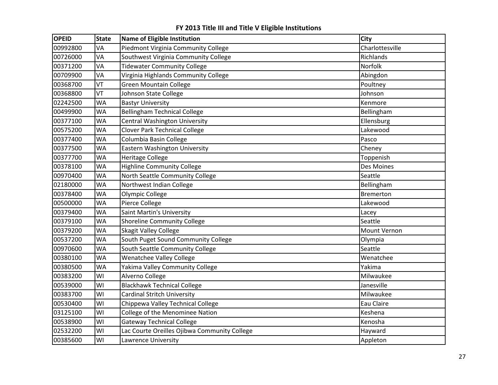| <b>OPEID</b> | <b>State</b> | <b>Name of Eligible Institution</b>          | <b>City</b>      |
|--------------|--------------|----------------------------------------------|------------------|
| 00992800     | VA           | Piedmont Virginia Community College          | Charlottesville  |
| 00726000     | VA           | Southwest Virginia Community College         | Richlands        |
| 00371200     | VA           | <b>Tidewater Community College</b>           | Norfolk          |
| 00709900     | VA           | Virginia Highlands Community College         | Abingdon         |
| 00368700     | VT           | <b>Green Mountain College</b>                | Poultney         |
| 00368800     | VT           | Johnson State College                        | Johnson          |
| 02242500     | <b>WA</b>    | <b>Bastyr University</b>                     | Kenmore          |
| 00499900     | <b>WA</b>    | <b>Bellingham Technical College</b>          | Bellingham       |
| 00377100     | WA           | <b>Central Washington University</b>         | Ellensburg       |
| 00575200     | <b>WA</b>    | <b>Clover Park Technical College</b>         | Lakewood         |
| 00377400     | <b>WA</b>    | Columbia Basin College                       | Pasco            |
| 00377500     | <b>WA</b>    | Eastern Washington University                | Cheney           |
| 00377700     | <b>WA</b>    | <b>Heritage College</b>                      | Toppenish        |
| 00378100     | <b>WA</b>    | <b>Highline Community College</b>            | Des Moines       |
| 00970400     | <b>WA</b>    | North Seattle Community College              | Seattle          |
| 02180000     | <b>WA</b>    | Northwest Indian College                     | Bellingham       |
| 00378400     | <b>WA</b>    | Olympic College                              | <b>Bremerton</b> |
| 00500000     | <b>WA</b>    | Pierce College                               | Lakewood         |
| 00379400     | <b>WA</b>    | Saint Martin's University                    | Lacey            |
| 00379100     | <b>WA</b>    | <b>Shoreline Community College</b>           | Seattle          |
| 00379200     | <b>WA</b>    | <b>Skagit Valley College</b>                 | Mount Vernon     |
| 00537200     | <b>WA</b>    | South Puget Sound Community College          | Olympia          |
| 00970600     | <b>WA</b>    | South Seattle Community College              | Seattle          |
| 00380100     | <b>WA</b>    | Wenatchee Valley College                     | Wenatchee        |
| 00380500     | <b>WA</b>    | Yakima Valley Community College              | Yakima           |
| 00383200     | WI           | Alverno College                              | Milwaukee        |
| 00539000     | WI           | <b>Blackhawk Technical College</b>           | Janesville       |
| 00383700     | WI           | Cardinal Stritch University                  | Milwaukee        |
| 00530400     | WI           | Chippewa Valley Technical College            | Eau Claire       |
| 03125100     | WI           | College of the Menominee Nation              | Keshena          |
| 00538900     | WI           | <b>Gateway Technical College</b>             | Kenosha          |
| 02532200     | WI           | Lac Courte Oreilles Ojibwa Community College | Hayward          |
| 00385600     | WI           | Lawrence University                          | Appleton         |